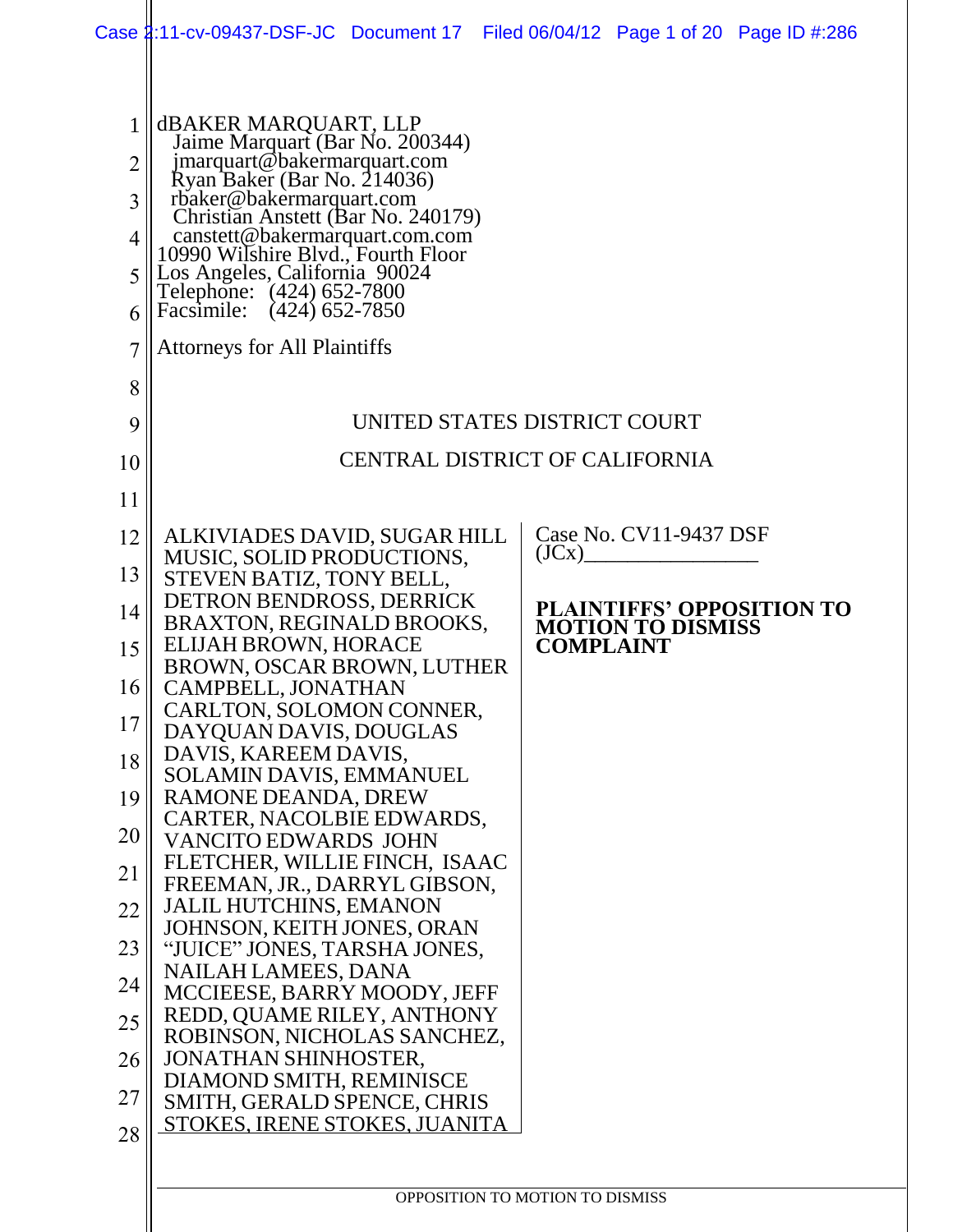|                                                   | Case 1:11-cv-09437-DSF-JC Document 17 Filed 06/04/12 Page 1 of 20 Page ID #:286                                                                                                                                                                                                                                                                                                                          |                              |  |                                 |                          |                           |
|---------------------------------------------------|----------------------------------------------------------------------------------------------------------------------------------------------------------------------------------------------------------------------------------------------------------------------------------------------------------------------------------------------------------------------------------------------------------|------------------------------|--|---------------------------------|--------------------------|---------------------------|
| $\overline{2}$<br>3<br>4<br>5<br>6<br>7<br>8<br>9 | <b>dBAKER MARQUART, LLP</b><br>Jaime Marquart (Bar No. 200344)<br>jmarquart@bakermarquart.com<br>Ryan Baker (Bar No. 214036)<br>rbaker@bakermarquart.com<br>Christian Anstett (Bar No. 240179)<br>canstett@bakermarquart.com.com<br>10990 Wilshire Blyd., Fourth Floor<br>Los Angeles, California 90024<br>Telephone: (424) 652-7800<br>Facsimile: (424) 652-7850<br><b>Attorneys for All Plaintiffs</b> | UNITED STATES DISTRICT COURT |  |                                 |                          |                           |
| 10                                                | <b>CENTRAL DISTRICT OF CALIFORNIA</b>                                                                                                                                                                                                                                                                                                                                                                    |                              |  |                                 |                          |                           |
| 11                                                |                                                                                                                                                                                                                                                                                                                                                                                                          |                              |  |                                 |                          |                           |
| 12                                                | ALKIVIADES DAVID, SUGAR HILL                                                                                                                                                                                                                                                                                                                                                                             |                              |  |                                 | Case No. CV11-9437 DSF   |                           |
|                                                   | MUSIC, SOLID PRODUCTIONS,                                                                                                                                                                                                                                                                                                                                                                                |                              |  |                                 | $\rm (JCx)$              |                           |
| 13                                                | STEVEN BATIZ, TONY BELL,<br>DETRON BENDROSS, DERRICK                                                                                                                                                                                                                                                                                                                                                     |                              |  |                                 |                          | PLAINTIFFS' OPPOSITION TO |
| 14                                                | BRAXTON, REGINALD BROOKS,<br>ELIJAH BROWN, HORACE                                                                                                                                                                                                                                                                                                                                                        |                              |  | <b>COMPLAINT</b>                | <b>MOTION TO DISMISS</b> |                           |
| 15                                                | BROWN, OSCAR BROWN, LUTHER                                                                                                                                                                                                                                                                                                                                                                               |                              |  |                                 |                          |                           |
| 16                                                | CAMPBELL, JONATHAN<br>CARLTON, SOLOMON CONNER,                                                                                                                                                                                                                                                                                                                                                           |                              |  |                                 |                          |                           |
| 17                                                | DAYQUAN DAVIS, DOUGLAS                                                                                                                                                                                                                                                                                                                                                                                   |                              |  |                                 |                          |                           |
| 18                                                | DAVIS, KAREEM DAVIS,<br><b>SOLAMIN DAVIS, EMMANUEL</b>                                                                                                                                                                                                                                                                                                                                                   |                              |  |                                 |                          |                           |
| 19                                                | RAMONE DEANDA, DREW                                                                                                                                                                                                                                                                                                                                                                                      |                              |  |                                 |                          |                           |
| 20                                                | CARTER, NACOLBIE EDWARDS,<br><b>VANCITO EDWARDS JOHN</b>                                                                                                                                                                                                                                                                                                                                                 |                              |  |                                 |                          |                           |
| 21                                                | FLETCHER, WILLIE FINCH, ISAAC<br>FREEMAN, JR., DARRYL GIBSON,                                                                                                                                                                                                                                                                                                                                            |                              |  |                                 |                          |                           |
| 22                                                | <b>JALIL HUTCHINS, EMANON</b>                                                                                                                                                                                                                                                                                                                                                                            |                              |  |                                 |                          |                           |
| 23                                                | JOHNSON, KEITH JONES, ORAN<br>"JUICE" JONES, TARSHA JONES,                                                                                                                                                                                                                                                                                                                                               |                              |  |                                 |                          |                           |
| 24                                                | <b>NAILAH LAMEES, DANA</b>                                                                                                                                                                                                                                                                                                                                                                               |                              |  |                                 |                          |                           |
| 25                                                | MCCIEESE, BARRY MOODY, JEFF<br>REDD, QUAME RILEY, ANTHONY                                                                                                                                                                                                                                                                                                                                                |                              |  |                                 |                          |                           |
| 26                                                | ROBINSON, NICHOLAS SANCHEZ,<br><b>JONATHAN SHINHOSTER,</b>                                                                                                                                                                                                                                                                                                                                               |                              |  |                                 |                          |                           |
|                                                   | DIAMOND SMITH, REMINISCE                                                                                                                                                                                                                                                                                                                                                                                 |                              |  |                                 |                          |                           |
| 27<br>28                                          | SMITH, GERALD SPENCE, CHRIS<br>STOKES, IRENE STOKES, JUANITA                                                                                                                                                                                                                                                                                                                                             |                              |  |                                 |                          |                           |
|                                                   |                                                                                                                                                                                                                                                                                                                                                                                                          |                              |  |                                 |                          |                           |
|                                                   |                                                                                                                                                                                                                                                                                                                                                                                                          |                              |  | OPPOSITION TO MOTION TO DISMISS |                          |                           |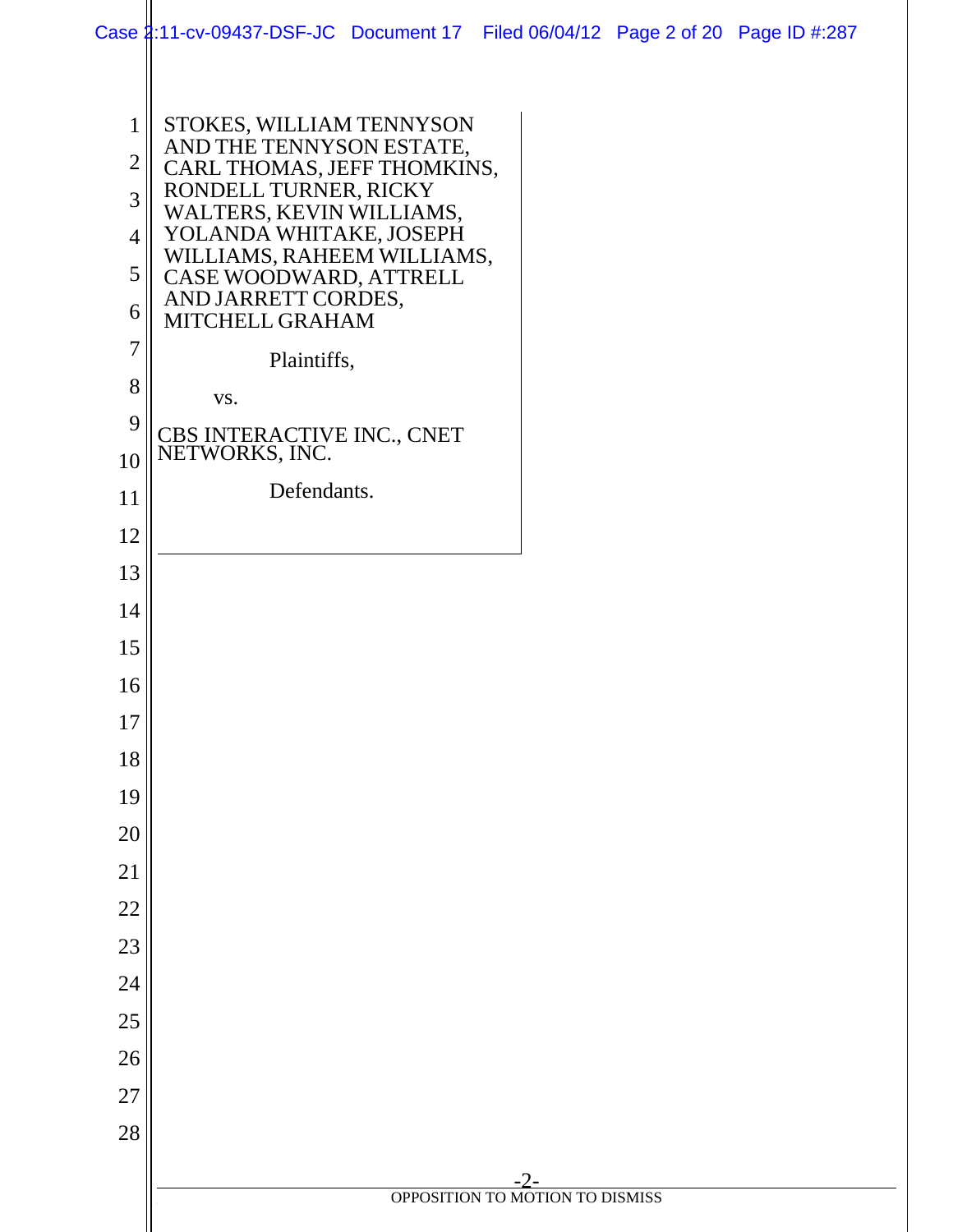|                | Case 2:11-cv-09437-DSF-JC Document 17 Filed 06/04/12 Page 2 of 20 Page ID #:287 |                                        |  |
|----------------|---------------------------------------------------------------------------------|----------------------------------------|--|
|                |                                                                                 |                                        |  |
| $\mathbf 1$    | STOKES, WILLIAM TENNYSON                                                        |                                        |  |
| $\overline{2}$ | AND THE TENNYSON ESTATE,<br>CARL THOMAS, JEFF THOMKINS,                         |                                        |  |
| 3              | RONDELL TURNER, RICKY<br>WALTERS, KEVIN WILLIAMS,                               |                                        |  |
| 4              | YOLANDA WHITAKE, JOSEPH<br>WILLIAMS, RAHEEM WILLIAMS,                           |                                        |  |
| 5              | CASE WOODWARD, ATTRELL                                                          |                                        |  |
| 6              | AND JARRETT CORDES,<br>MITCHELL GRAHAM                                          |                                        |  |
| 7              | Plaintiffs,                                                                     |                                        |  |
| 8              | VS.                                                                             |                                        |  |
| 9              | CBS INTERACTIVE INC., CNET                                                      |                                        |  |
| 10             | NETWORKS, INC.                                                                  |                                        |  |
| 11             | Defendants.                                                                     |                                        |  |
| 12             |                                                                                 |                                        |  |
| 13             |                                                                                 |                                        |  |
| 14             |                                                                                 |                                        |  |
| 15             |                                                                                 |                                        |  |
| 16             |                                                                                 |                                        |  |
| 17             |                                                                                 |                                        |  |
| 18             |                                                                                 |                                        |  |
| 19             |                                                                                 |                                        |  |
| 20             |                                                                                 |                                        |  |
| 21             |                                                                                 |                                        |  |
| $22\,$         |                                                                                 |                                        |  |
| 23             |                                                                                 |                                        |  |
| 24             |                                                                                 |                                        |  |
| $25\,$         |                                                                                 |                                        |  |
| $26\,$         |                                                                                 |                                        |  |
| $27\,$         |                                                                                 |                                        |  |
| 28             |                                                                                 |                                        |  |
|                |                                                                                 | -2-<br>OPPOSITION TO MOTION TO DISMISS |  |
|                |                                                                                 |                                        |  |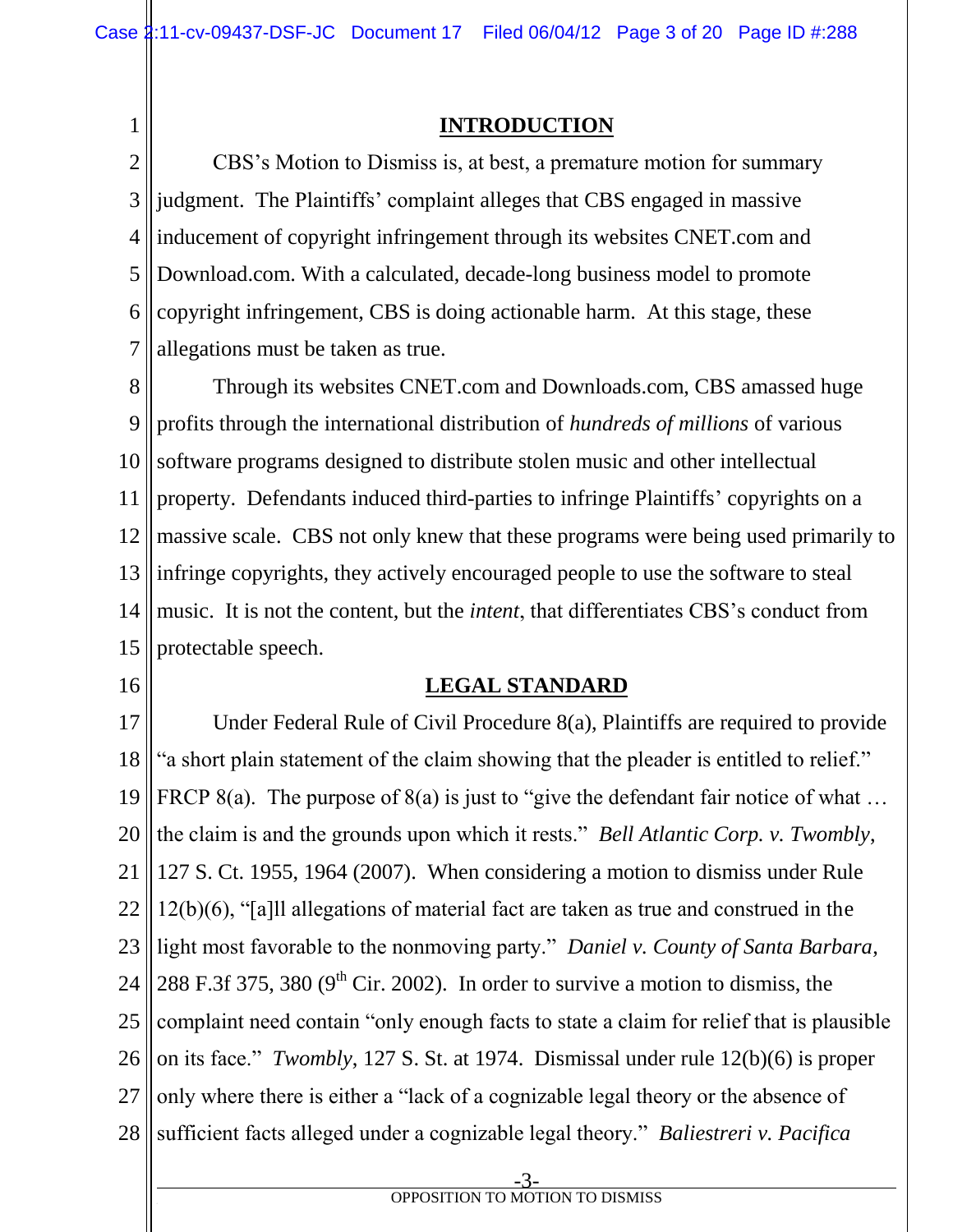1

# **INTRODUCTION**

2 3 4 5 6 7 CBS's Motion to Dismiss is, at best, a premature motion for summary judgment. The Plaintiffs' complaint alleges that CBS engaged in massive inducement of copyright infringement through its websites CNET.com and Download.com. With a calculated, decade-long business model to promote copyright infringement, CBS is doing actionable harm. At this stage, these allegations must be taken as true.

8 9 10 11 12 13 14 15 Through its websites CNET.com and Downloads.com, CBS amassed huge profits through the international distribution of *hundreds of millions* of various software programs designed to distribute stolen music and other intellectual property. Defendants induced third-parties to infringe Plaintiffs' copyrights on a massive scale. CBS not only knew that these programs were being used primarily to infringe copyrights, they actively encouraged people to use the software to steal music. It is not the content, but the *intent*, that differentiates CBS's conduct from protectable speech.

16

## **LEGAL STANDARD**

17 18 19 20 21 22 23 24 25 26 27 28 Under Federal Rule of Civil Procedure 8(a), Plaintiffs are required to provide "a short plain statement of the claim showing that the pleader is entitled to relief." FRCP 8(a). The purpose of 8(a) is just to "give the defendant fair notice of what ... the claim is and the grounds upon which it rests." *Bell Atlantic Corp. v. Twombly*, 127 S. Ct. 1955, 1964 (2007). When considering a motion to dismiss under Rule 12(b)(6), "[a]ll allegations of material fact are taken as true and construed in the light most favorable to the nonmoving party." *Daniel v. County of Santa Barbara*, 288 F.3f 375, 380 ( $9<sup>th</sup>$  Cir. 2002). In order to survive a motion to dismiss, the complaint need contain "only enough facts to state a claim for relief that is plausible on its face." *Twombly*, 127 S. St. at 1974. Dismissal under rule 12(b)(6) is proper only where there is either a "lack of a cognizable legal theory or the absence of sufficient facts alleged under a cognizable legal theory." *Baliestreri v. Pacifica* 

-3 **f** OPPOSITION TO MOTION TO DISMISS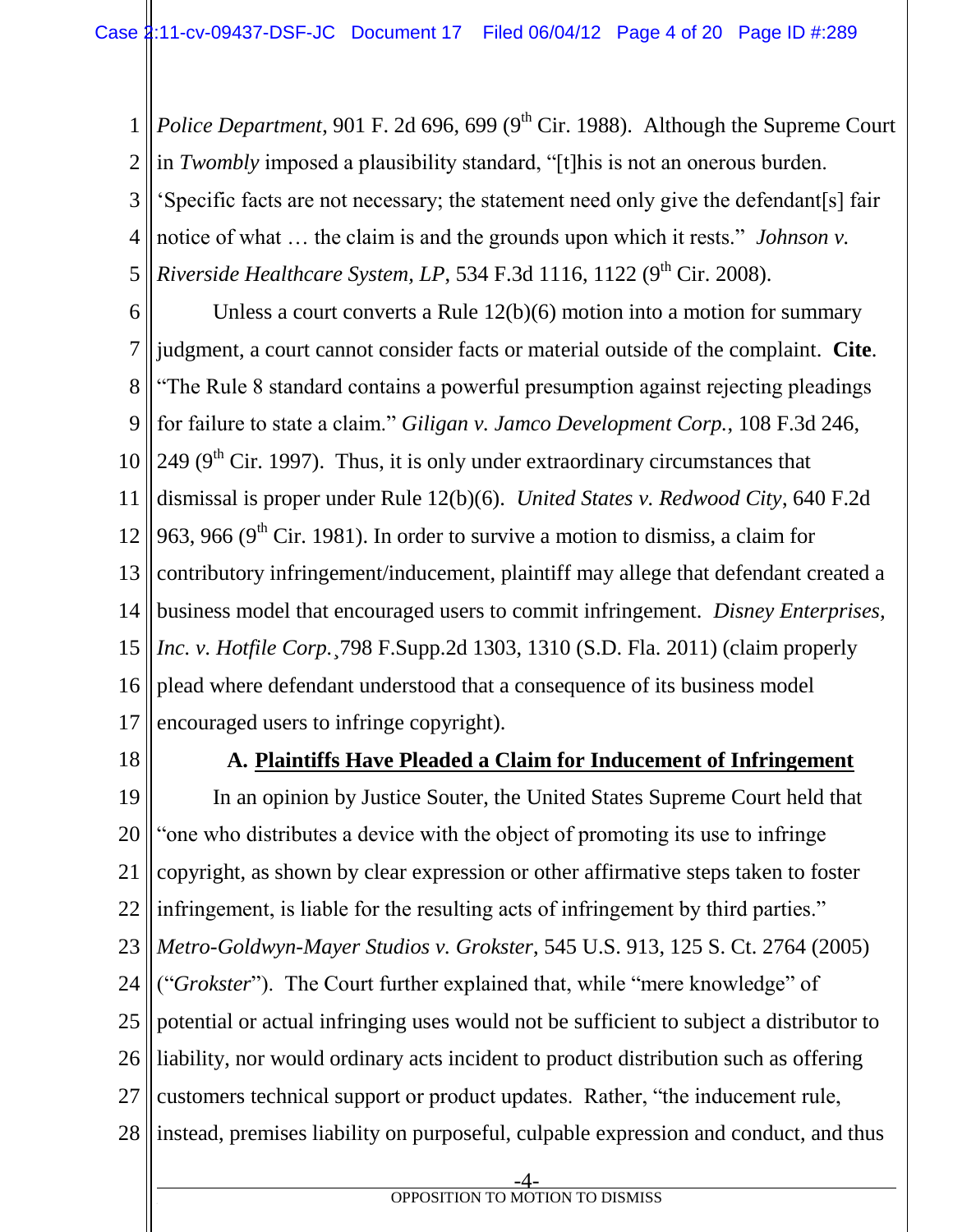1 2 3 4 5 *Police Department*, 901 F. 2d 696, 699 (9<sup>th</sup> Cir. 1988). Although the Supreme Court in *Twombly* imposed a plausibility standard, "[t]his is not an onerous burden. 'Specific facts are not necessary; the statement need only give the defendant[s] fair notice of what … the claim is and the grounds upon which it rests." *Johnson v. Riverside Healthcare System, LP, 534 F.3d 1116, 1122 (9<sup>th</sup> Cir. 2008).* 

6 7 8 9 10 11 12 13 14 15 16 17 Unless a court converts a Rule 12(b)(6) motion into a motion for summary judgment, a court cannot consider facts or material outside of the complaint. **Cite**. "The Rule 8 standard contains a powerful presumption against rejecting pleadings for failure to state a claim." *Giligan v. Jamco Development Corp.*, 108 F.3d 246, 249 ( $9<sup>th</sup>$  Cir. 1997). Thus, it is only under extraordinary circumstances that dismissal is proper under Rule 12(b)(6). *United States v. Redwood City*, 640 F.2d 963, 966 ( $9<sup>th</sup>$  Cir. 1981). In order to survive a motion to dismiss, a claim for contributory infringement/inducement, plaintiff may allege that defendant created a business model that encouraged users to commit infringement. *Disney Enterprises, Inc. v. Hotfile Corp.*¸798 F.Supp.2d 1303, 1310 (S.D. Fla. 2011) (claim properly plead where defendant understood that a consequence of its business model encouraged users to infringe copyright).

18

## **A. Plaintiffs Have Pleaded a Claim for Inducement of Infringement**

19 20 21 22 23 24 25 26 27 28 In an opinion by Justice Souter, the United States Supreme Court held that "one who distributes a device with the object of promoting its use to infringe copyright, as shown by clear expression or other affirmative steps taken to foster infringement, is liable for the resulting acts of infringement by third parties." *Metro-Goldwyn-Mayer Studios v. Grokster*, 545 U.S. 913, 125 S. Ct. 2764 (2005) ("*Grokster*"). The Court further explained that, while "mere knowledge" of potential or actual infringing uses would not be sufficient to subject a distributor to liability, nor would ordinary acts incident to product distribution such as offering customers technical support or product updates. Rather, "the inducement rule, instead, premises liability on purposeful, culpable expression and conduct, and thus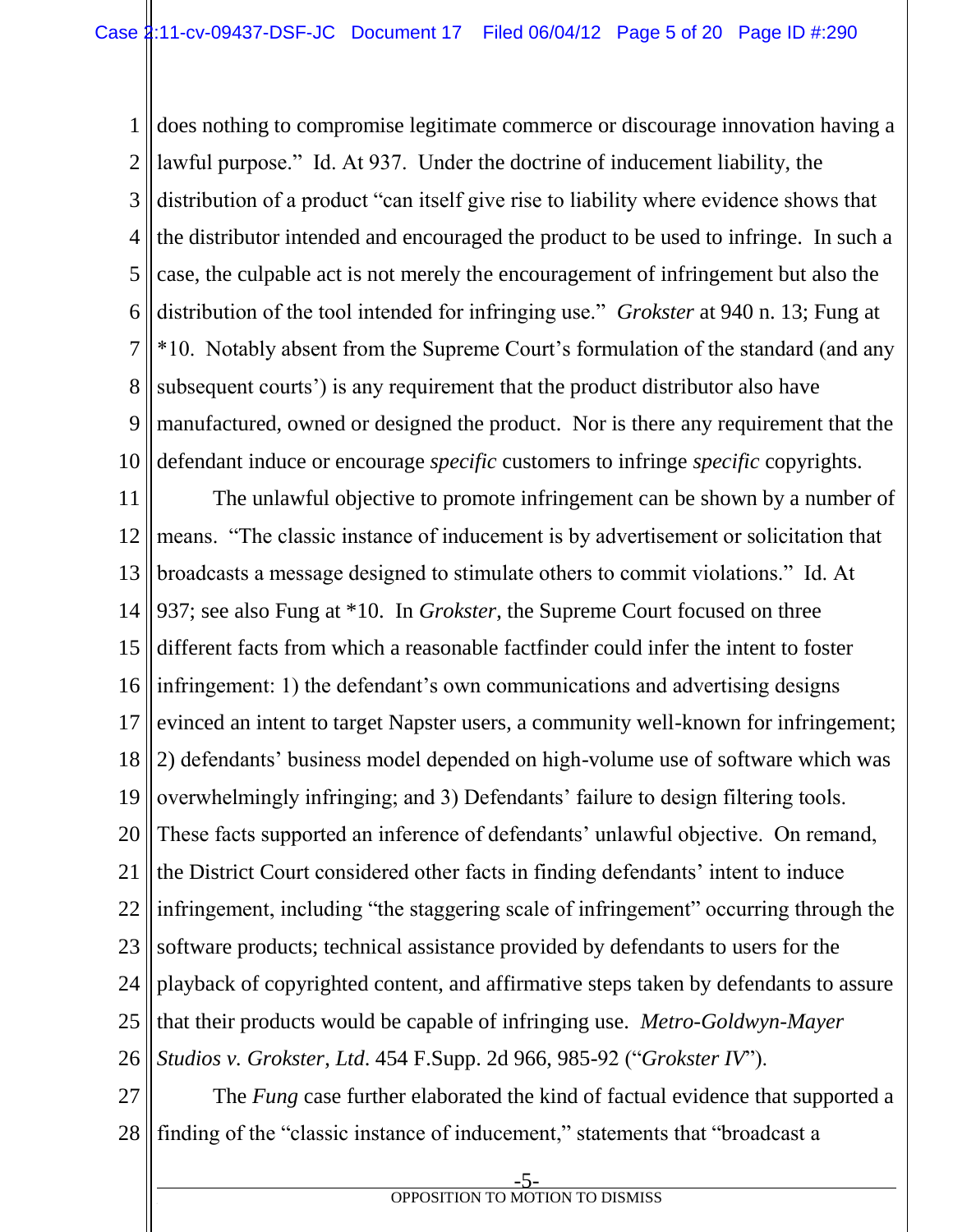1 2 3 4 5 6 7 8 9 10 does nothing to compromise legitimate commerce or discourage innovation having a lawful purpose." Id. At 937. Under the doctrine of inducement liability, the distribution of a product "can itself give rise to liability where evidence shows that the distributor intended and encouraged the product to be used to infringe. In such a case, the culpable act is not merely the encouragement of infringement but also the distribution of the tool intended for infringing use." *Grokster* at 940 n. 13; Fung at \*10. Notably absent from the Supreme Court's formulation of the standard (and any subsequent courts') is any requirement that the product distributor also have manufactured, owned or designed the product. Nor is there any requirement that the defendant induce or encourage *specific* customers to infringe *specific* copyrights.

11 12 13 14 15 16 17 18 19 20 21 22 23 24 25 26 The unlawful objective to promote infringement can be shown by a number of means. "The classic instance of inducement is by advertisement or solicitation that broadcasts a message designed to stimulate others to commit violations." Id. At 937; see also Fung at \*10. In *Grokster*, the Supreme Court focused on three different facts from which a reasonable factfinder could infer the intent to foster infringement: 1) the defendant's own communications and advertising designs evinced an intent to target Napster users, a community well-known for infringement; 2) defendants' business model depended on high-volume use of software which was overwhelmingly infringing; and 3) Defendants' failure to design filtering tools. These facts supported an inference of defendants' unlawful objective. On remand, the District Court considered other facts in finding defendants' intent to induce infringement, including "the staggering scale of infringement" occurring through the software products; technical assistance provided by defendants to users for the playback of copyrighted content, and affirmative steps taken by defendants to assure that their products would be capable of infringing use. *Metro-Goldwyn-Mayer Studios v. Grokster*, *Ltd*. 454 F.Supp. 2d 966, 985-92 ("*Grokster IV*").

27 28 The *Fung* case further elaborated the kind of factual evidence that supported a finding of the "classic instance of inducement," statements that "broadcast a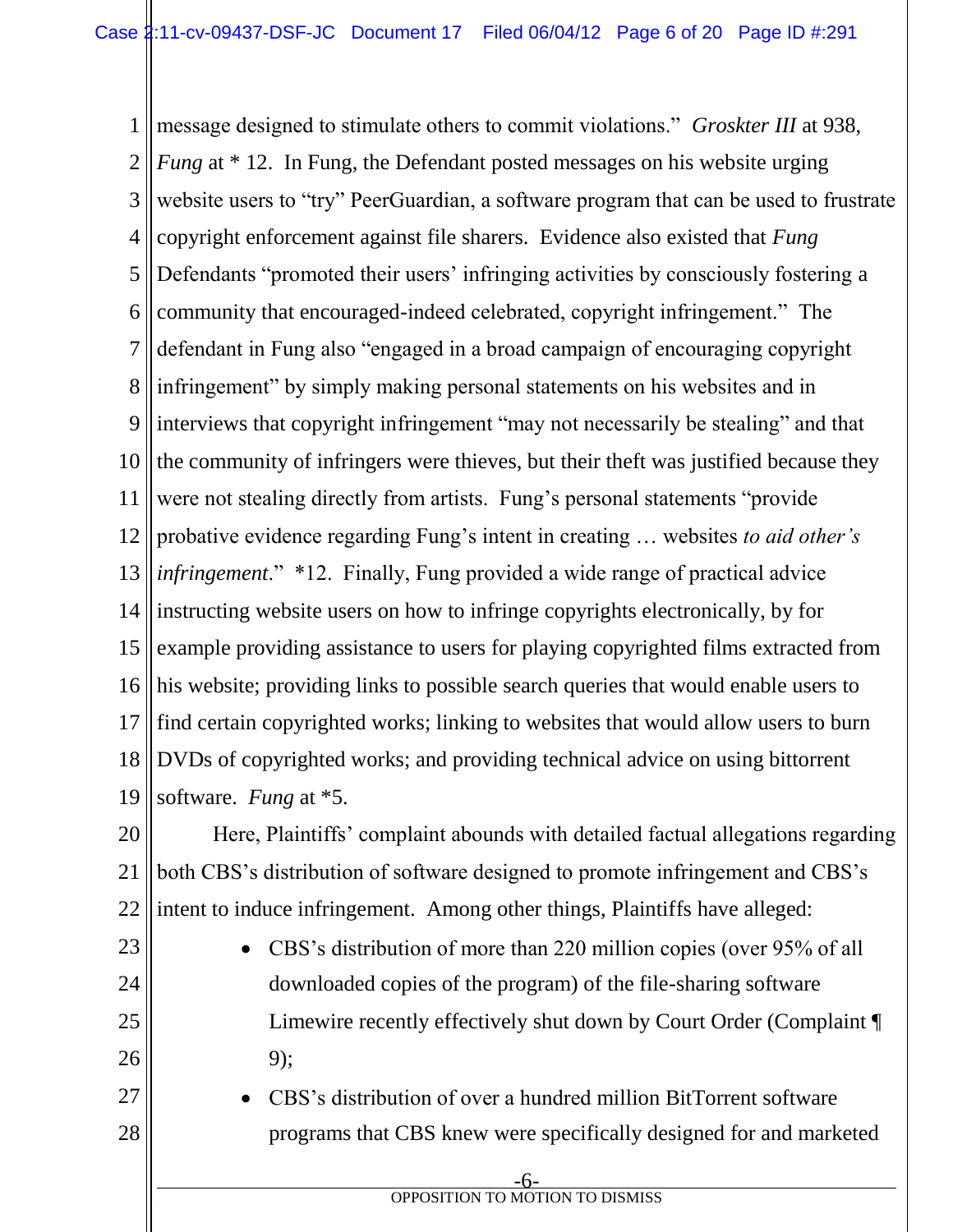1 2 3 4 5 6 7 8 9 10 11 12 13 14 15 16 17 18 19 message designed to stimulate others to commit violations." *Groskter III* at 938, *Fung* at \* 12. In Fung, the Defendant posted messages on his website urging website users to "try" PeerGuardian, a software program that can be used to frustrate copyright enforcement against file sharers. Evidence also existed that *Fung* Defendants "promoted their users' infringing activities by consciously fostering a community that encouraged-indeed celebrated, copyright infringement." The defendant in Fung also "engaged in a broad campaign of encouraging copyright infringement" by simply making personal statements on his websites and in interviews that copyright infringement "may not necessarily be stealing" and that the community of infringers were thieves, but their theft was justified because they were not stealing directly from artists. Fung's personal statements "provide probative evidence regarding Fung's intent in creating … websites *to aid other's infringement*." \*12. Finally, Fung provided a wide range of practical advice instructing website users on how to infringe copyrights electronically, by for example providing assistance to users for playing copyrighted films extracted from his website; providing links to possible search queries that would enable users to find certain copyrighted works; linking to websites that would allow users to burn DVDs of copyrighted works; and providing technical advice on using bittorrent software. *Fung* at \*5.

20 21 22 Here, Plaintiffs' complaint abounds with detailed factual allegations regarding both CBS's distribution of software designed to promote infringement and CBS's intent to induce infringement. Among other things, Plaintiffs have alleged:

- 23 24 25 26 • CBS's distribution of more than 220 million copies (over 95% of all downloaded copies of the program) of the file-sharing software Limewire recently effectively shut down by Court Order (Complaint ¶ 9);
- 27 28 CBS's distribution of over a hundred million BitTorrent software programs that CBS knew were specifically designed for and marketed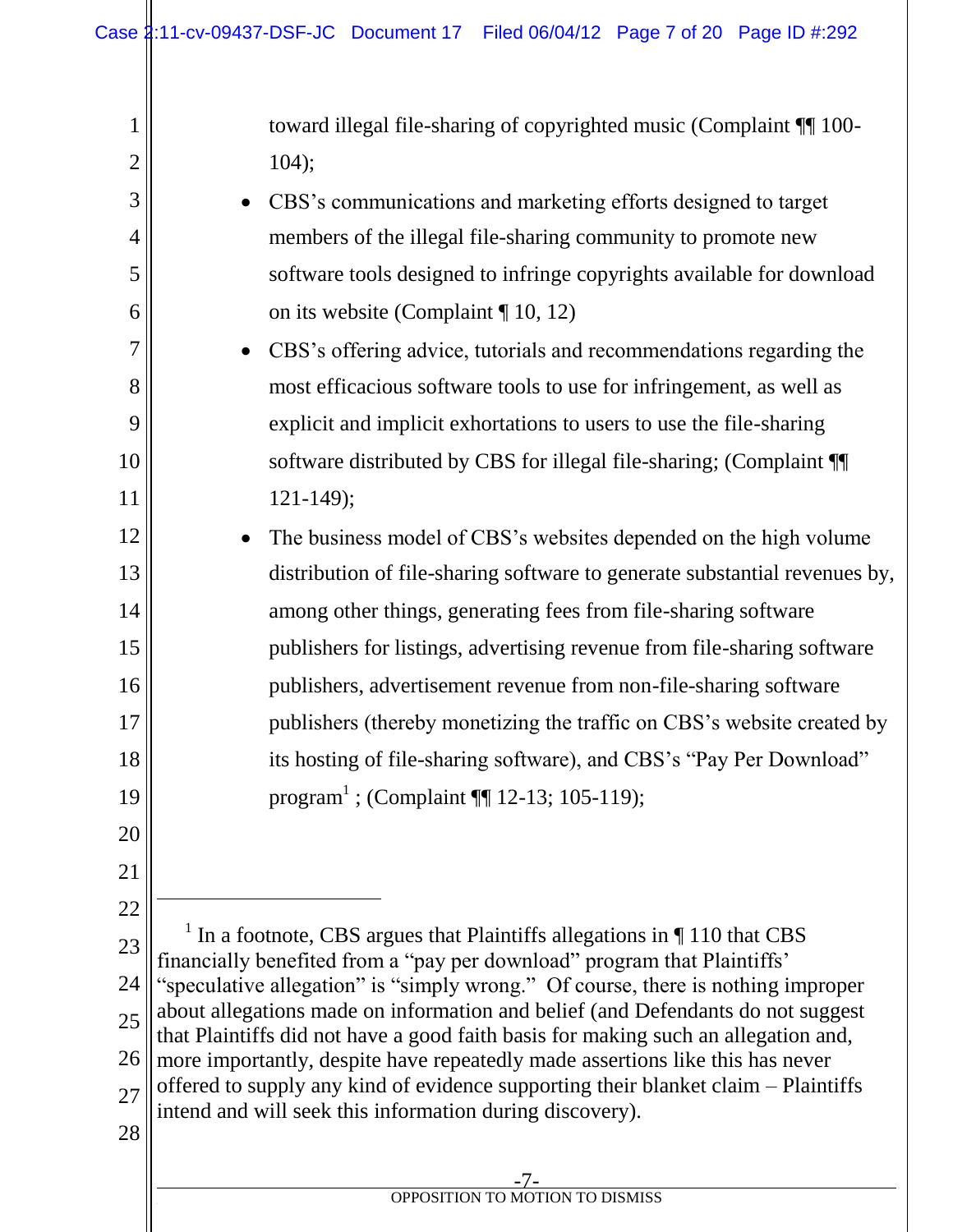| $\mathbf{1}$   | toward illegal file-sharing of copyrighted music (Complaint ¶ 100-                                                                                                                                                              |  |  |  |  |
|----------------|---------------------------------------------------------------------------------------------------------------------------------------------------------------------------------------------------------------------------------|--|--|--|--|
| $\overline{2}$ | 104);                                                                                                                                                                                                                           |  |  |  |  |
| 3              | CBS's communications and marketing efforts designed to target<br>$\bullet$                                                                                                                                                      |  |  |  |  |
| $\overline{4}$ | members of the illegal file-sharing community to promote new                                                                                                                                                                    |  |  |  |  |
| 5              | software tools designed to infringe copyrights available for download                                                                                                                                                           |  |  |  |  |
| 6              | on its website (Complaint $\P$ 10, 12)                                                                                                                                                                                          |  |  |  |  |
| 7              | CBS's offering advice, tutorials and recommendations regarding the<br>$\bullet$                                                                                                                                                 |  |  |  |  |
| 8              | most efficacious software tools to use for infringement, as well as                                                                                                                                                             |  |  |  |  |
| 9              | explicit and implicit exhortations to users to use the file-sharing                                                                                                                                                             |  |  |  |  |
| 10             | software distributed by CBS for illegal file-sharing; (Complaint ¶                                                                                                                                                              |  |  |  |  |
| 11             | $121 - 149$ ;                                                                                                                                                                                                                   |  |  |  |  |
| 12             | The business model of CBS's websites depended on the high volume<br>$\bullet$                                                                                                                                                   |  |  |  |  |
| 13             | distribution of file-sharing software to generate substantial revenues by,                                                                                                                                                      |  |  |  |  |
| 14             | among other things, generating fees from file-sharing software                                                                                                                                                                  |  |  |  |  |
| 15             | publishers for listings, advertising revenue from file-sharing software                                                                                                                                                         |  |  |  |  |
| 16             | publishers, advertisement revenue from non-file-sharing software                                                                                                                                                                |  |  |  |  |
| 17             | publishers (thereby monetizing the traffic on CBS's website created by                                                                                                                                                          |  |  |  |  |
| 18             | its hosting of file-sharing software), and CBS's "Pay Per Download"                                                                                                                                                             |  |  |  |  |
| 19             | program <sup>1</sup> ; (Complaint $\P$ 12-13; 105-119);                                                                                                                                                                         |  |  |  |  |
| 20             |                                                                                                                                                                                                                                 |  |  |  |  |
| 21             |                                                                                                                                                                                                                                 |  |  |  |  |
| 22             |                                                                                                                                                                                                                                 |  |  |  |  |
| 23             | In a footnote, CBS argues that Plaintiffs allegations in ¶ 110 that CBS<br>financially benefited from a "pay per download" program that Plaintiffs'                                                                             |  |  |  |  |
| 24             | 'speculative allegation" is "simply wrong." Of course, there is nothing improper                                                                                                                                                |  |  |  |  |
| 25             | about allegations made on information and belief (and Defendants do not suggest<br>that Plaintiffs did not have a good faith basis for making such an allegation and,                                                           |  |  |  |  |
| 26             | more importantly, despite have repeatedly made assertions like this has never<br>offered to supply any kind of evidence supporting their blanket claim – Plaintiffs<br>intend and will seek this information during discovery). |  |  |  |  |
| 27             |                                                                                                                                                                                                                                 |  |  |  |  |
| 28             |                                                                                                                                                                                                                                 |  |  |  |  |
|                |                                                                                                                                                                                                                                 |  |  |  |  |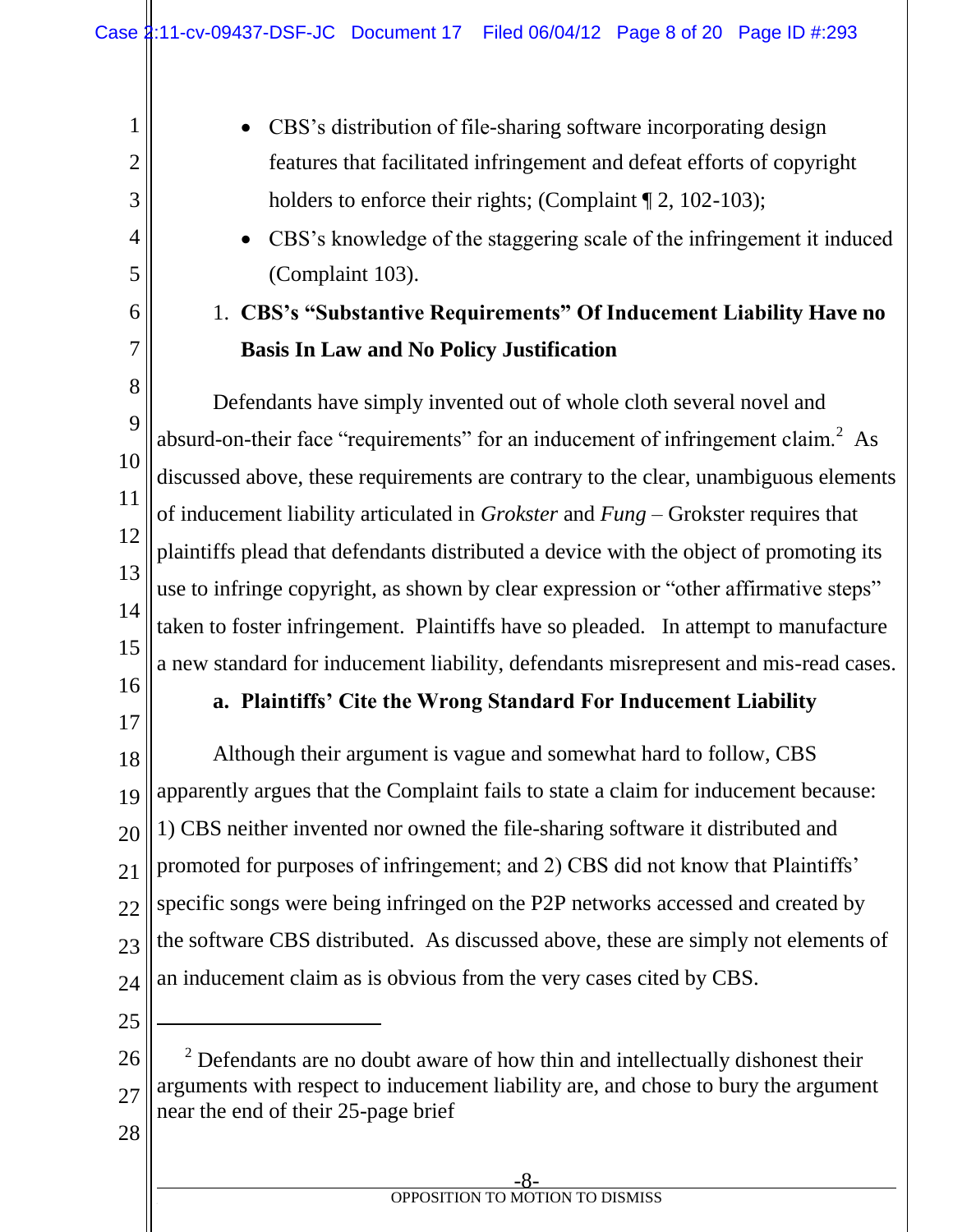- CBS's distribution of file-sharing software incorporating design features that facilitated infringement and defeat efforts of copyright holders to enforce their rights; (Complaint  $\P$  2, 102-103);
- CBS's knowledge of the staggering scale of the infringement it induced (Complaint 103).

# 1. **CBS's "Substantive Requirements" Of Inducement Liability Have no Basis In Law and No Policy Justification**

8 9 10 11 12 13 14 15 Defendants have simply invented out of whole cloth several novel and absurd-on-their face "requirements" for an inducement of infringement claim.<sup>2</sup> As discussed above, these requirements are contrary to the clear, unambiguous elements of inducement liability articulated in *Grokster* and *Fung* – Grokster requires that plaintiffs plead that defendants distributed a device with the object of promoting its use to infringe copyright, as shown by clear expression or "other affirmative steps" taken to foster infringement. Plaintiffs have so pleaded. In attempt to manufacture a new standard for inducement liability, defendants misrepresent and mis-read cases.

16

1

2

3

4

5

6

7

17

# **a. Plaintiffs' Cite the Wrong Standard For Inducement Liability**

18 19 20 21 22 23 24 Although their argument is vague and somewhat hard to follow, CBS apparently argues that the Complaint fails to state a claim for inducement because: 1) CBS neither invented nor owned the file-sharing software it distributed and promoted for purposes of infringement; and 2) CBS did not know that Plaintiffs' specific songs were being infringed on the P2P networks accessed and created by the software CBS distributed. As discussed above, these are simply not elements of an inducement claim as is obvious from the very cases cited by CBS.

25

l

28

<sup>26</sup> 27  $2^2$  Defendants are no doubt aware of how thin and intellectually dishonest their arguments with respect to inducement liability are, and chose to bury the argument near the end of their 25-page brief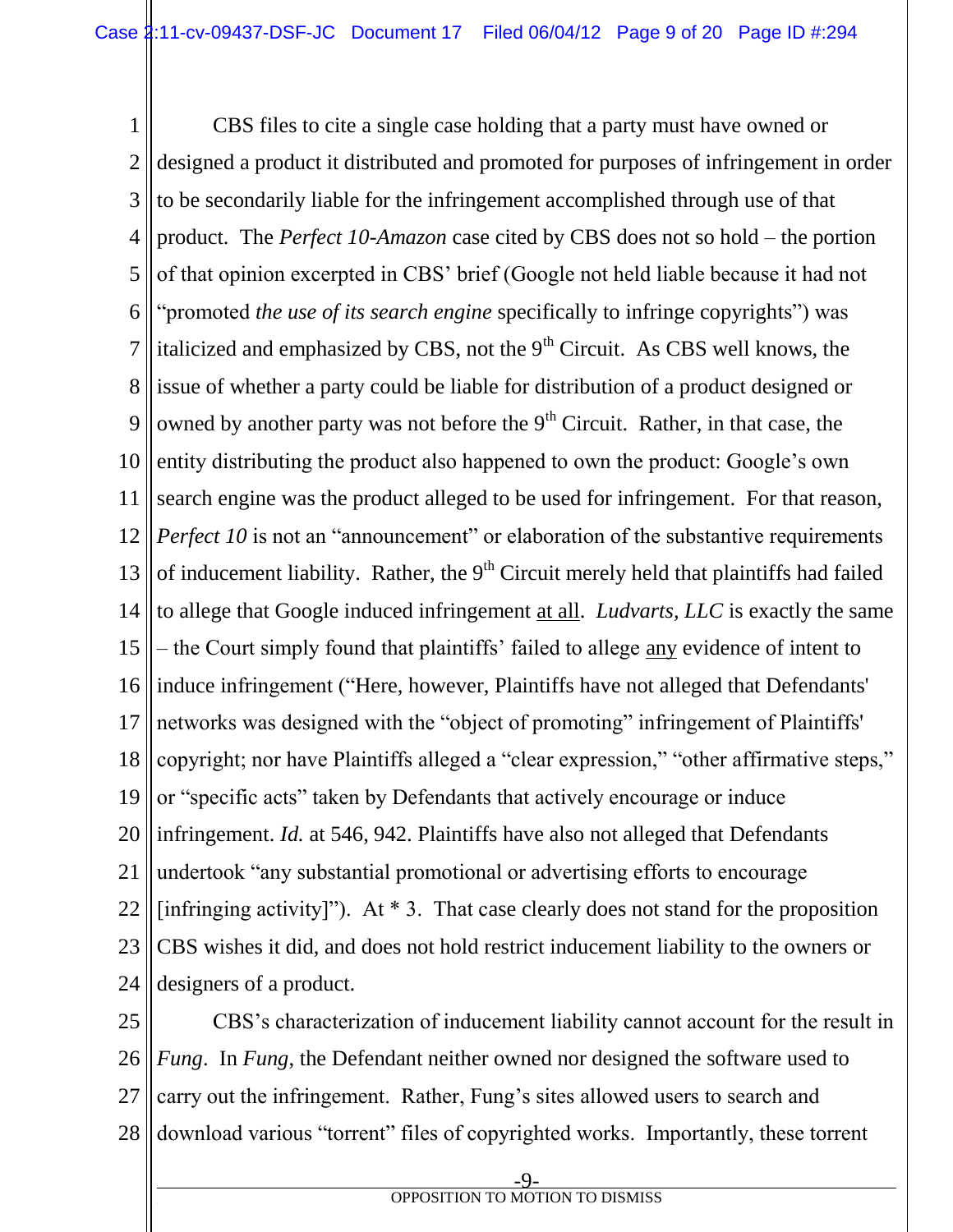1 2 3 4 5 6 7 8 9 10 11 12 13 14 15 16 17 18 19 20 21 22 23 24 CBS files to cite a single case holding that a party must have owned or designed a product it distributed and promoted for purposes of infringement in order to be secondarily liable for the infringement accomplished through use of that product. The *Perfect 10-Amazon* case cited by CBS does not so hold – the portion of that opinion excerpted in CBS' brief (Google not held liable because it had not "promoted *the use of its search engine* specifically to infringe copyrights") was italicized and emphasized by CBS, not the  $9<sup>th</sup>$  Circuit. As CBS well knows, the issue of whether a party could be liable for distribution of a product designed or owned by another party was not before the  $9<sup>th</sup>$  Circuit. Rather, in that case, the entity distributing the product also happened to own the product: Google's own search engine was the product alleged to be used for infringement. For that reason, *Perfect 10* is not an "announcement" or elaboration of the substantive requirements of inducement liability. Rather, the  $9<sup>th</sup>$  Circuit merely held that plaintiffs had failed to allege that Google induced infringement at all. *Ludvarts, LLC* is exactly the same – the Court simply found that plaintiffs' failed to allege any evidence of intent to induce infringement ("Here, however, Plaintiffs have not alleged that Defendants' networks was designed with the "object of promoting" infringement of Plaintiffs' copyright; nor have Plaintiffs alleged a "clear expression," "other affirmative steps," or "specific acts" taken by Defendants that actively encourage or induce infringement. *Id.* at 546, 942. Plaintiffs have also not alleged that Defendants undertook "any substantial promotional or advertising efforts to encourage [infringing activity]"). At  $*$  3. That case clearly does not stand for the proposition CBS wishes it did, and does not hold restrict inducement liability to the owners or designers of a product.

25 26 27 28 CBS's characterization of inducement liability cannot account for the result in *Fung*. In *Fung*, the Defendant neither owned nor designed the software used to carry out the infringement. Rather, Fung's sites allowed users to search and download various "torrent" files of copyrighted works. Importantly, these torrent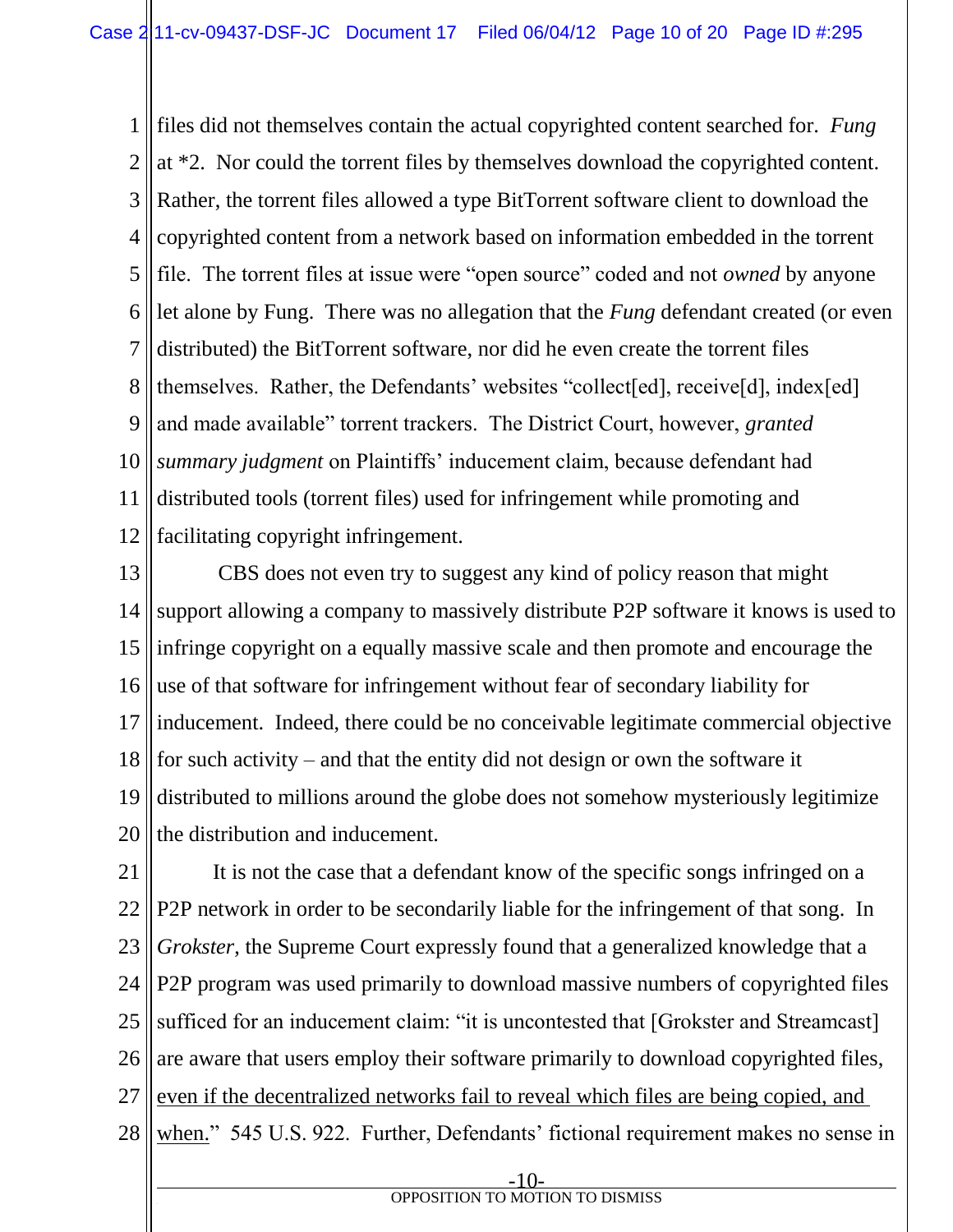1 2 3 4 5 6 7 8 9 10 11 12 files did not themselves contain the actual copyrighted content searched for. *Fung* at \*2. Nor could the torrent files by themselves download the copyrighted content. Rather, the torrent files allowed a type BitTorrent software client to download the copyrighted content from a network based on information embedded in the torrent file. The torrent files at issue were "open source" coded and not *owned* by anyone let alone by Fung. There was no allegation that the *Fung* defendant created (or even distributed) the BitTorrent software, nor did he even create the torrent files themselves. Rather, the Defendants' websites "collect[ed], receive[d], index[ed] and made available" torrent trackers. The District Court, however, *granted summary judgment* on Plaintiffs' inducement claim, because defendant had distributed tools (torrent files) used for infringement while promoting and facilitating copyright infringement.

13 14 15 16 17 18 19 20 CBS does not even try to suggest any kind of policy reason that might support allowing a company to massively distribute P2P software it knows is used to infringe copyright on a equally massive scale and then promote and encourage the use of that software for infringement without fear of secondary liability for inducement. Indeed, there could be no conceivable legitimate commercial objective for such activity – and that the entity did not design or own the software it distributed to millions around the globe does not somehow mysteriously legitimize the distribution and inducement.

21 22 23 24 25 26 27 28 It is not the case that a defendant know of the specific songs infringed on a P2P network in order to be secondarily liable for the infringement of that song. In *Grokster*, the Supreme Court expressly found that a generalized knowledge that a P2P program was used primarily to download massive numbers of copyrighted files sufficed for an inducement claim: "it is uncontested that [Grokster and Streamcast] are aware that users employ their software primarily to download copyrighted files, even if the decentralized networks fail to reveal which files are being copied, and when." 545 U.S. 922. Further, Defendants' fictional requirement makes no sense in

-10 **f OPPOSITION TO MOTION TO DISMISS**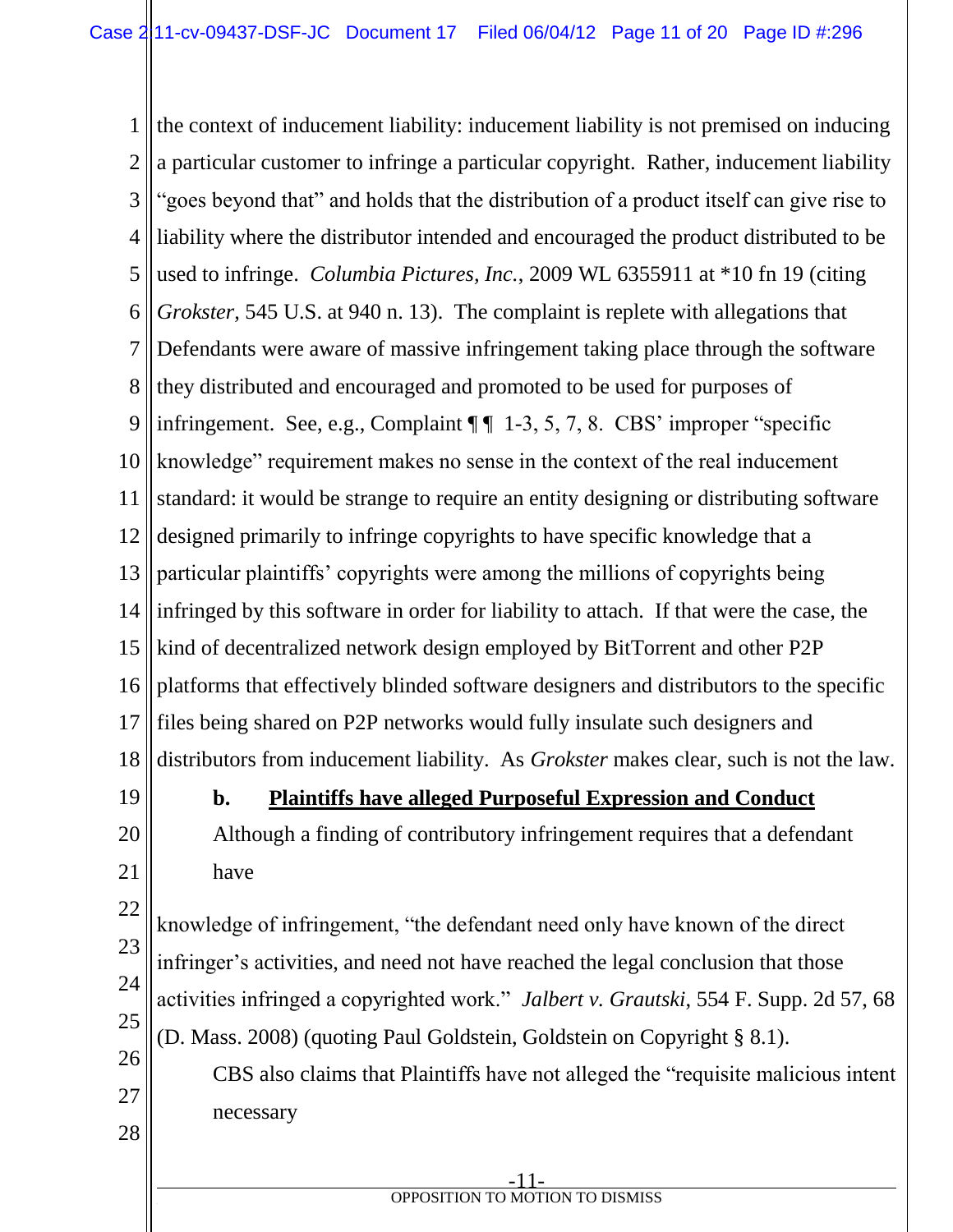1 2 3 4 5 6 7 8 9 10 11 12 13 14 15 16 17 18 19 20 21 22 23 24 the context of inducement liability: inducement liability is not premised on inducing a particular customer to infringe a particular copyright. Rather, inducement liability "goes beyond that" and holds that the distribution of a product itself can give rise to liability where the distributor intended and encouraged the product distributed to be used to infringe. *Columbia Pictures, Inc.*, 2009 WL 6355911 at \*10 fn 19 (citing *Grokster*, 545 U.S. at 940 n. 13). The complaint is replete with allegations that Defendants were aware of massive infringement taking place through the software they distributed and encouraged and promoted to be used for purposes of infringement. See, e.g., Complaint  $\P\P$  1-3, 5, 7, 8. CBS' improper "specific knowledge" requirement makes no sense in the context of the real inducement standard: it would be strange to require an entity designing or distributing software designed primarily to infringe copyrights to have specific knowledge that a particular plaintiffs' copyrights were among the millions of copyrights being infringed by this software in order for liability to attach. If that were the case, the kind of decentralized network design employed by BitTorrent and other P2P platforms that effectively blinded software designers and distributors to the specific files being shared on P2P networks would fully insulate such designers and distributors from inducement liability. As *Grokster* makes clear, such is not the law. **b. Plaintiffs have alleged Purposeful Expression and Conduct** Although a finding of contributory infringement requires that a defendant have knowledge of infringement, "the defendant need only have known of the direct infringer's activities, and need not have reached the legal conclusion that those

25 26 activities infringed a copyrighted work." *Jalbert v. Grautski*, 554 F. Supp. 2d 57, 68 (D. Mass. 2008) (quoting Paul Goldstein, Goldstein on Copyright § 8.1).

27

28

CBS also claims that Plaintiffs have not alleged the "requisite malicious intent necessary

-11 **f OPPOSITION TO MOTION TO DISMISS**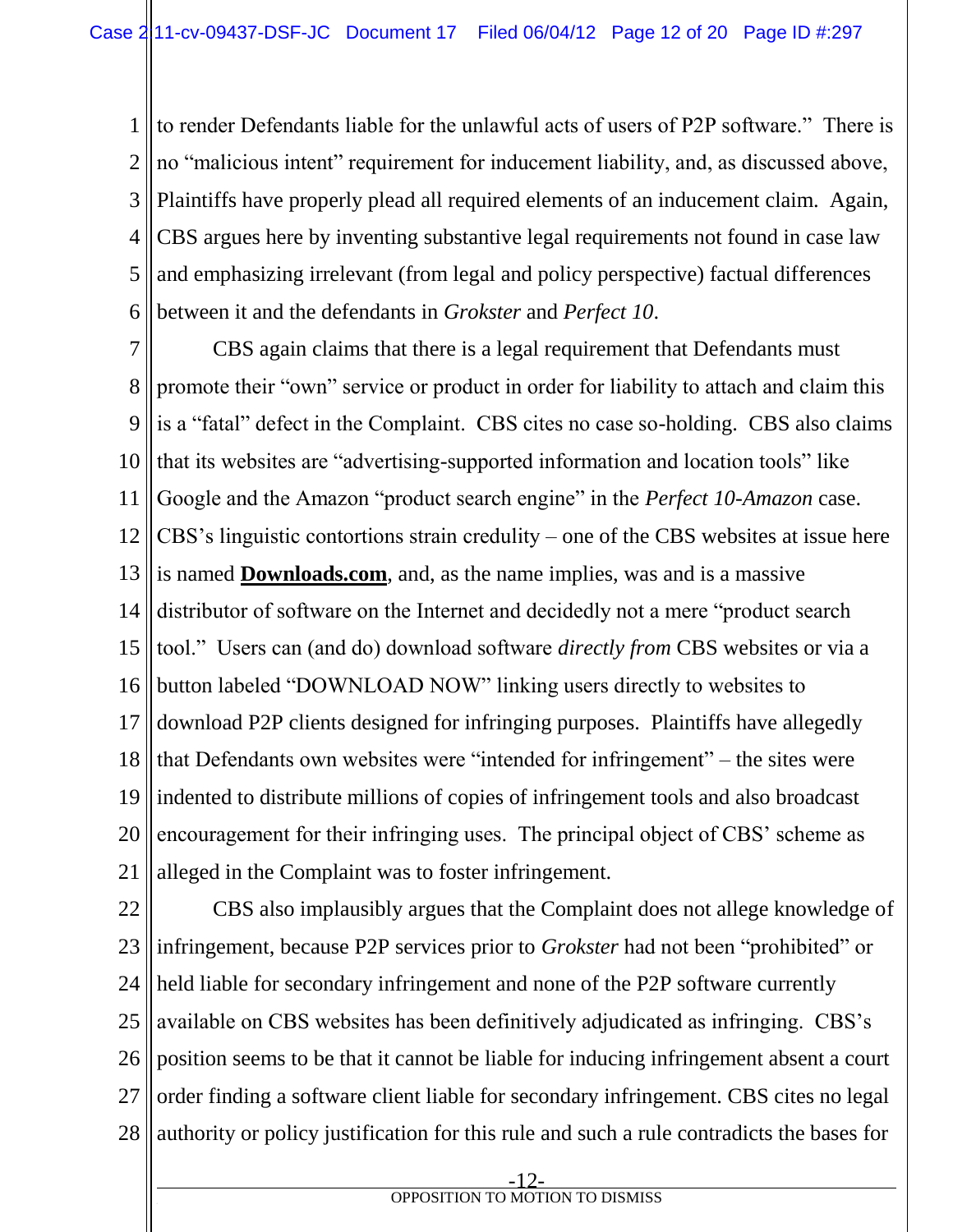1 2 3 4 5 6 to render Defendants liable for the unlawful acts of users of P2P software." There is no "malicious intent" requirement for inducement liability, and, as discussed above, Plaintiffs have properly plead all required elements of an inducement claim. Again, CBS argues here by inventing substantive legal requirements not found in case law and emphasizing irrelevant (from legal and policy perspective) factual differences between it and the defendants in *Grokster* and *Perfect 10*.

7 8 9 10 11 12 13 14 15 16 17 18 19 20 21 CBS again claims that there is a legal requirement that Defendants must promote their "own" service or product in order for liability to attach and claim this is a "fatal" defect in the Complaint. CBS cites no case so-holding. CBS also claims that its websites are "advertising-supported information and location tools" like Google and the Amazon "product search engine" in the *Perfect 10-Amazon* case. CBS's linguistic contortions strain credulity – one of the CBS websites at issue here is named **Downloads.com**, and, as the name implies, was and is a massive distributor of software on the Internet and decidedly not a mere "product search tool." Users can (and do) download software *directly from* CBS websites or via a button labeled "DOWNLOAD NOW" linking users directly to websites to download P2P clients designed for infringing purposes. Plaintiffs have allegedly that Defendants own websites were "intended for infringement" – the sites were indented to distribute millions of copies of infringement tools and also broadcast encouragement for their infringing uses. The principal object of CBS' scheme as alleged in the Complaint was to foster infringement.

22 23 24 25 26 27 28 CBS also implausibly argues that the Complaint does not allege knowledge of infringement, because P2P services prior to *Grokster* had not been "prohibited" or held liable for secondary infringement and none of the P2P software currently available on CBS websites has been definitively adjudicated as infringing. CBS's position seems to be that it cannot be liable for inducing infringement absent a court order finding a software client liable for secondary infringement. CBS cites no legal authority or policy justification for this rule and such a rule contradicts the bases for

-12-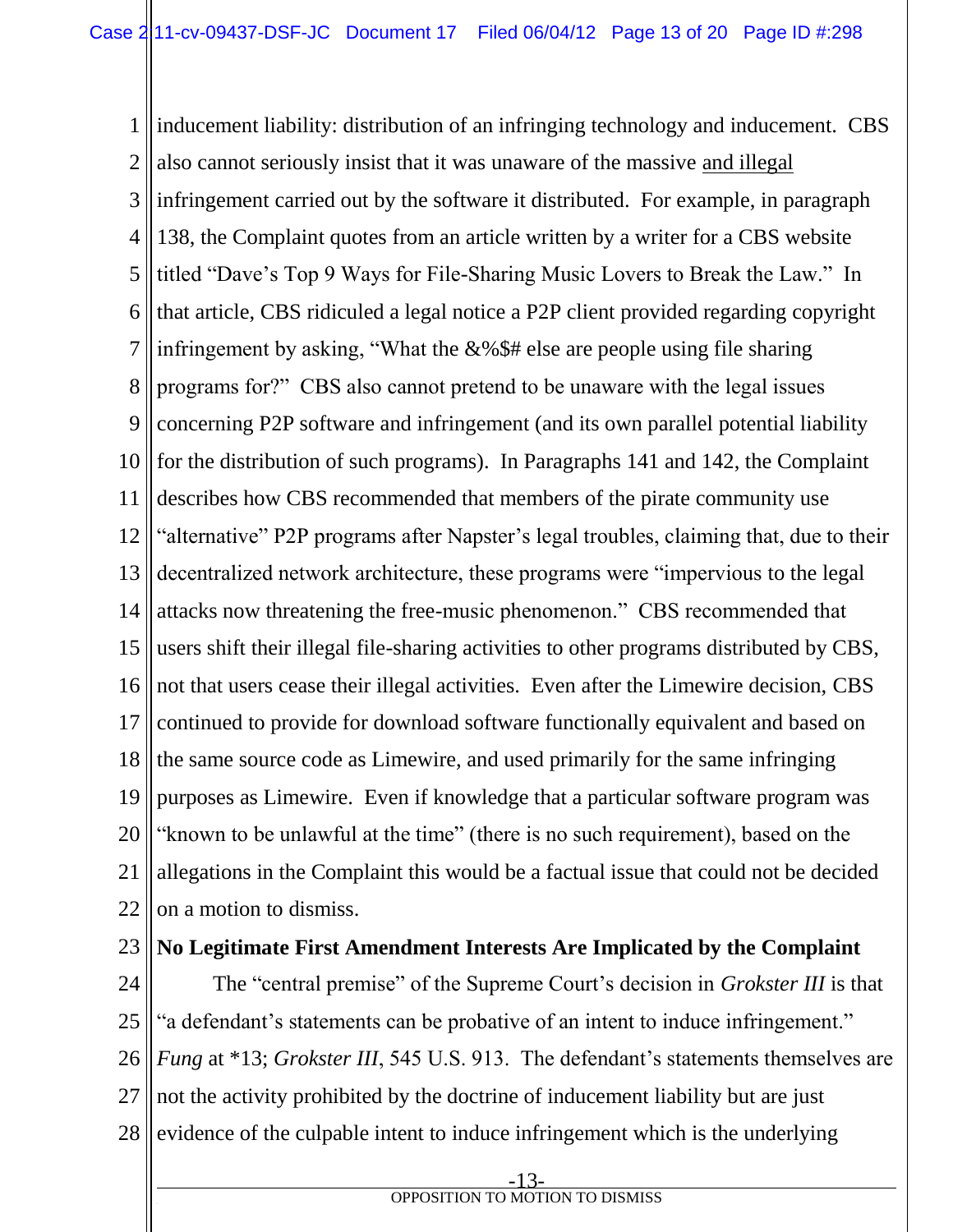1 2 3 4 5 6 7 8 9 10 11 12 13 14 15 16 17 18 19 20 21 22 inducement liability: distribution of an infringing technology and inducement. CBS also cannot seriously insist that it was unaware of the massive and illegal infringement carried out by the software it distributed. For example, in paragraph 138, the Complaint quotes from an article written by a writer for a CBS website titled "Dave's Top 9 Ways for File-Sharing Music Lovers to Break the Law." In that article, CBS ridiculed a legal notice a P2P client provided regarding copyright infringement by asking, "What the  $&\&\$\$  the area people using file sharing programs for?" CBS also cannot pretend to be unaware with the legal issues concerning P2P software and infringement (and its own parallel potential liability for the distribution of such programs). In Paragraphs 141 and 142, the Complaint describes how CBS recommended that members of the pirate community use "alternative" P2P programs after Napster's legal troubles, claiming that, due to their decentralized network architecture, these programs were "impervious to the legal attacks now threatening the free-music phenomenon." CBS recommended that users shift their illegal file-sharing activities to other programs distributed by CBS, not that users cease their illegal activities. Even after the Limewire decision, CBS continued to provide for download software functionally equivalent and based on the same source code as Limewire, and used primarily for the same infringing purposes as Limewire. Even if knowledge that a particular software program was "known to be unlawful at the time" (there is no such requirement), based on the allegations in the Complaint this would be a factual issue that could not be decided on a motion to dismiss.

- 23 **No Legitimate First Amendment Interests Are Implicated by the Complaint**
- 24 25 26 27 28 The "central premise" of the Supreme Court's decision in *Grokster III* is that "a defendant's statements can be probative of an intent to induce infringement." *Fung* at \*13; *Grokster III*, 545 U.S. 913. The defendant's statements themselves are not the activity prohibited by the doctrine of inducement liability but are just evidence of the culpable intent to induce infringement which is the underlying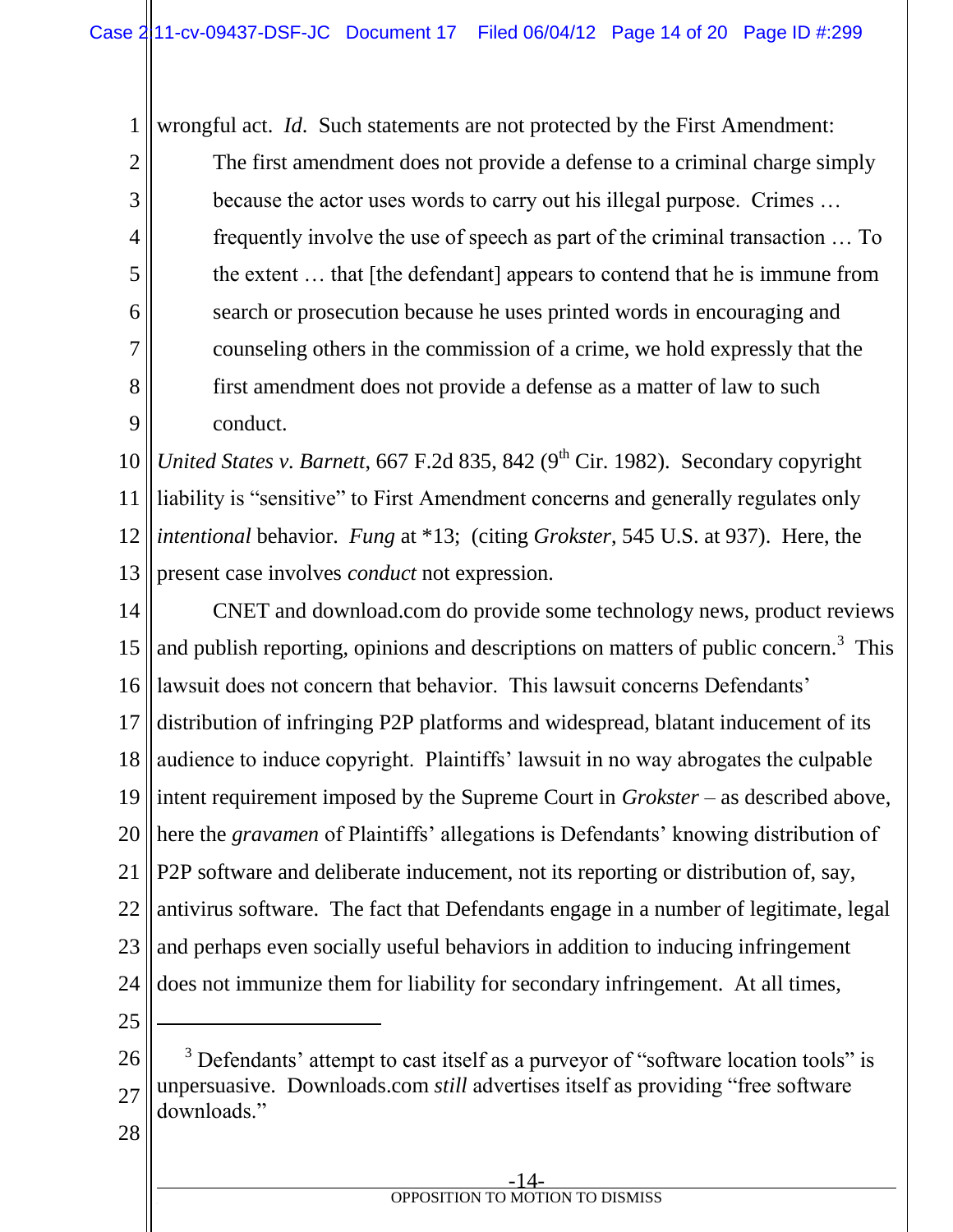wrongful act. *Id*. Such statements are not protected by the First Amendment:

The first amendment does not provide a defense to a criminal charge simply because the actor uses words to carry out his illegal purpose. Crimes … frequently involve the use of speech as part of the criminal transaction … To the extent … that [the defendant] appears to contend that he is immune from search or prosecution because he uses printed words in encouraging and counseling others in the commission of a crime, we hold expressly that the first amendment does not provide a defense as a matter of law to such conduct.

10 11 12 13 *United States v. Barnett*, 667 F.2d 835, 842 (9<sup>th</sup> Cir. 1982). Secondary copyright liability is "sensitive" to First Amendment concerns and generally regulates only *intentional* behavior. *Fung* at \*13; (citing *Grokster*, 545 U.S. at 937). Here, the present case involves *conduct* not expression.

14 15 16 17 18 19 20 21 22 23 24 CNET and download.com do provide some technology news, product reviews and publish reporting, opinions and descriptions on matters of public concern.<sup>3</sup> This lawsuit does not concern that behavior. This lawsuit concerns Defendants' distribution of infringing P2P platforms and widespread, blatant inducement of its audience to induce copyright. Plaintiffs' lawsuit in no way abrogates the culpable intent requirement imposed by the Supreme Court in *Grokster* – as described above, here the *gravamen* of Plaintiffs' allegations is Defendants' knowing distribution of P2P software and deliberate inducement, not its reporting or distribution of, say, antivirus software. The fact that Defendants engage in a number of legitimate, legal and perhaps even socially useful behaviors in addition to inducing infringement does not immunize them for liability for secondary infringement. At all times,

25

l

1

2

3

4

5

6

7

8

9

26 27 <sup>3</sup> Defendants' attempt to cast itself as a purveyor of "software location tools" is unpersuasive. Downloads.com *still* advertises itself as providing "free software downloads."

28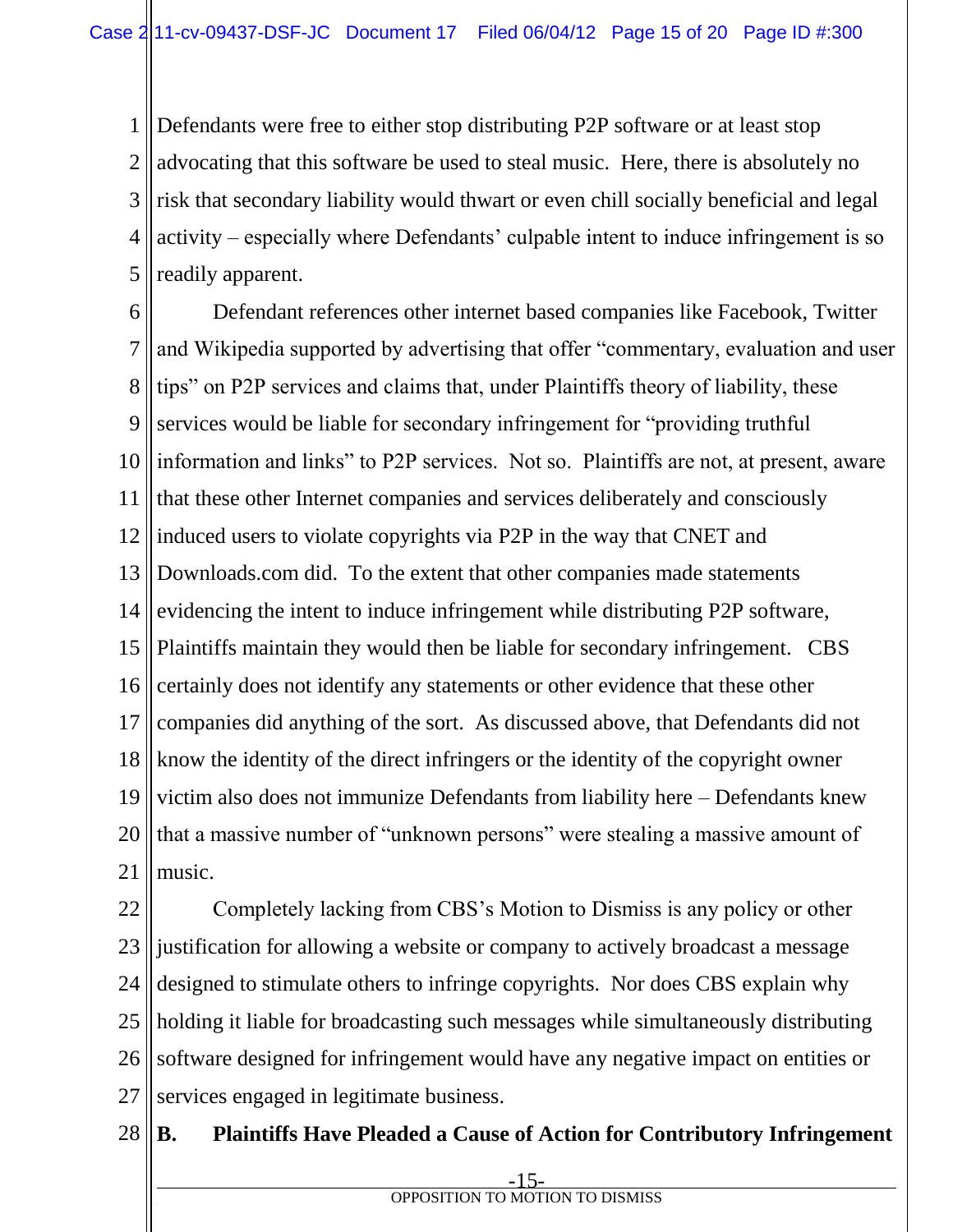1 2 3 4 5 Defendants were free to either stop distributing P2P software or at least stop advocating that this software be used to steal music. Here, there is absolutely no risk that secondary liability would thwart or even chill socially beneficial and legal activity – especially where Defendants' culpable intent to induce infringement is so readily apparent.

6 7 8 9 10 11 12 13 14 15 16 17 18 19 20 21 Defendant references other internet based companies like Facebook, Twitter and Wikipedia supported by advertising that offer "commentary, evaluation and user tips" on P2P services and claims that, under Plaintiffs theory of liability, these services would be liable for secondary infringement for "providing truthful information and links" to P2P services. Not so. Plaintiffs are not, at present, aware that these other Internet companies and services deliberately and consciously induced users to violate copyrights via P2P in the way that CNET and Downloads.com did. To the extent that other companies made statements evidencing the intent to induce infringement while distributing P2P software, Plaintiffs maintain they would then be liable for secondary infringement. CBS certainly does not identify any statements or other evidence that these other companies did anything of the sort. As discussed above, that Defendants did not know the identity of the direct infringers or the identity of the copyright owner victim also does not immunize Defendants from liability here – Defendants knew that a massive number of "unknown persons" were stealing a massive amount of music.

22 23 24 25 26 27 Completely lacking from CBS's Motion to Dismiss is any policy or other justification for allowing a website or company to actively broadcast a message designed to stimulate others to infringe copyrights. Nor does CBS explain why holding it liable for broadcasting such messages while simultaneously distributing software designed for infringement would have any negative impact on entities or services engaged in legitimate business.

#### 28 **B. Plaintiffs Have Pleaded a Cause of Action for Contributory Infringement**

-15 **f OPPOSITION TO MOTION TO DISMISS**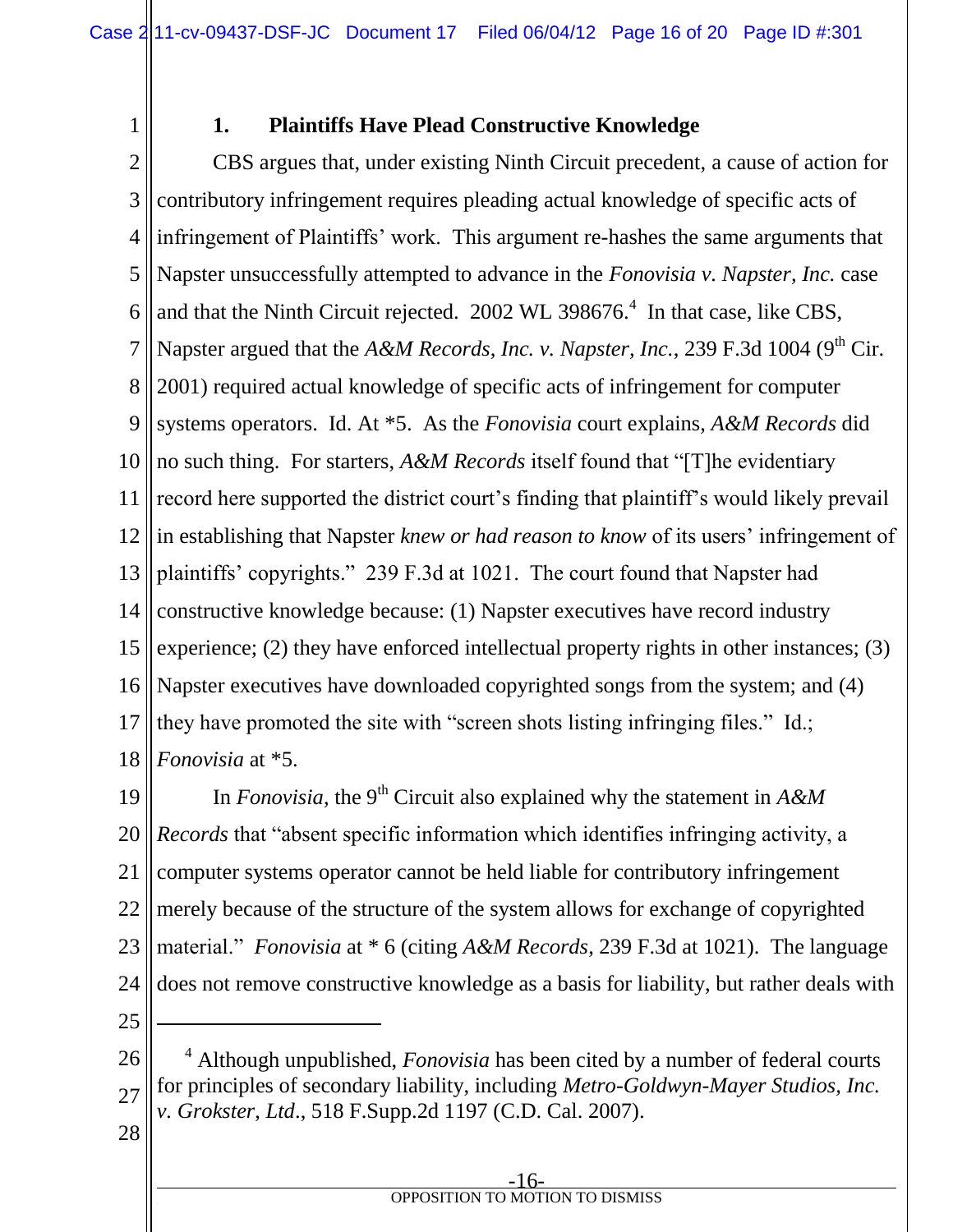# **1. Plaintiffs Have Plead Constructive Knowledge**

2 3 4 5 6 7 8 9 10 11 12 13 14 15 16 17 18 CBS argues that, under existing Ninth Circuit precedent, a cause of action for contributory infringement requires pleading actual knowledge of specific acts of infringement of Plaintiffs' work. This argument re-hashes the same arguments that Napster unsuccessfully attempted to advance in the *Fonovisia v. Napster, Inc.* case and that the Ninth Circuit rejected.  $2002$  WL 398676.<sup>4</sup> In that case, like CBS, Napster argued that the *A&M Records, Inc. v. Napster, Inc.*, 239 F.3d 1004 (9<sup>th</sup> Cir. 2001) required actual knowledge of specific acts of infringement for computer systems operators. Id. At \*5. As the *Fonovisia* court explains, *A&M Records* did no such thing. For starters, *A&M Records* itself found that "[T]he evidentiary record here supported the district court's finding that plaintiff's would likely prevail in establishing that Napster *knew or had reason to know* of its users' infringement of plaintiffs' copyrights." 239 F.3d at 1021. The court found that Napster had constructive knowledge because: (1) Napster executives have record industry experience; (2) they have enforced intellectual property rights in other instances; (3) Napster executives have downloaded copyrighted songs from the system; and (4) they have promoted the site with "screen shots listing infringing files." Id.; *Fonovisia* at \*5.

19 20 21 22 23 24 In *Fonovisia*, the 9<sup>th</sup> Circuit also explained why the statement in  $A\&M$ *Records* that "absent specific information which identifies infringing activity, a computer systems operator cannot be held liable for contributory infringement merely because of the structure of the system allows for exchange of copyrighted material." *Fonovisia* at \* 6 (citing *A&M Records*, 239 F.3d at 1021). The language does not remove constructive knowledge as a basis for liability, but rather deals with l

25

1

28

<sup>26</sup> 27 <sup>4</sup> Although unpublished, *Fonovisia* has been cited by a number of federal courts for principles of secondary liability, including *Metro-Goldwyn-Mayer Studios, Inc. v. Grokster*, *Ltd*., 518 F.Supp.2d 1197 (C.D. Cal. 2007).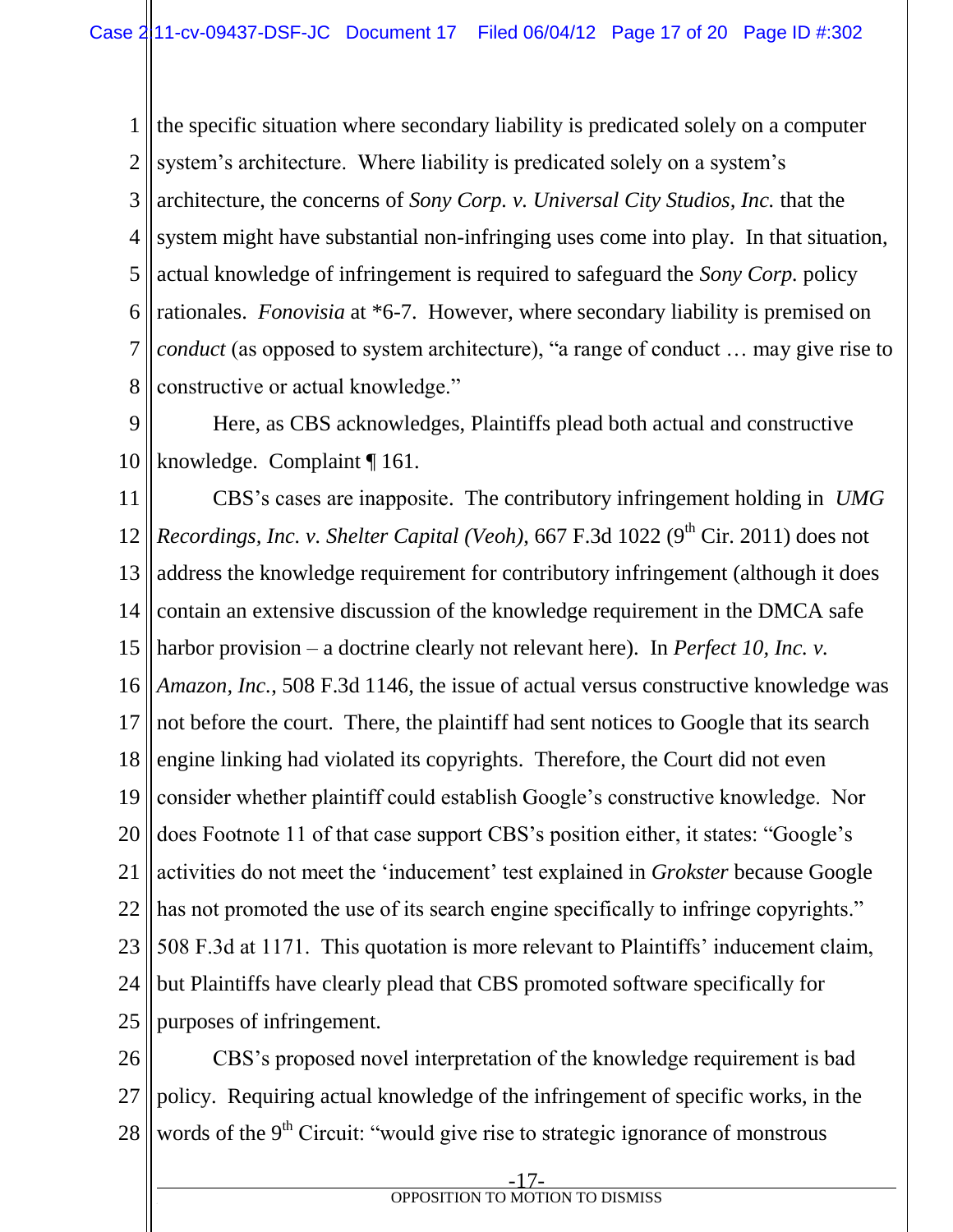1 2 3 4 5 6 7 8 the specific situation where secondary liability is predicated solely on a computer system's architecture. Where liability is predicated solely on a system's architecture, the concerns of *Sony Corp. v. Universal City Studios, Inc.* that the system might have substantial non-infringing uses come into play. In that situation, actual knowledge of infringement is required to safeguard the *Sony Corp.* policy rationales. *Fonovisia* at \*6-7. However, where secondary liability is premised on *conduct* (as opposed to system architecture), "a range of conduct … may give rise to constructive or actual knowledge."

9 10 Here, as CBS acknowledges, Plaintiffs plead both actual and constructive knowledge. Complaint ¶ 161.

11 12 13 14 15 16 17 18 19 20 21 22 23 24 25 CBS's cases are inapposite. The contributory infringement holding in *UMG Recordings, Inc. v. Shelter Capital (Veoh), 667 F.3d 1022 (9<sup>th</sup> Cir. 2011) does not* address the knowledge requirement for contributory infringement (although it does contain an extensive discussion of the knowledge requirement in the DMCA safe harbor provision – a doctrine clearly not relevant here). In *Perfect 10, Inc. v. Amazon, Inc.*, 508 F.3d 1146, the issue of actual versus constructive knowledge was not before the court. There, the plaintiff had sent notices to Google that its search engine linking had violated its copyrights. Therefore, the Court did not even consider whether plaintiff could establish Google's constructive knowledge. Nor does Footnote 11 of that case support CBS's position either, it states: "Google's activities do not meet the 'inducement' test explained in *Grokster* because Google has not promoted the use of its search engine specifically to infringe copyrights." 508 F.3d at 1171. This quotation is more relevant to Plaintiffs' inducement claim, but Plaintiffs have clearly plead that CBS promoted software specifically for purposes of infringement.

26 27 28 CBS's proposed novel interpretation of the knowledge requirement is bad policy. Requiring actual knowledge of the infringement of specific works, in the words of the 9<sup>th</sup> Circuit: "would give rise to strategic ignorance of monstrous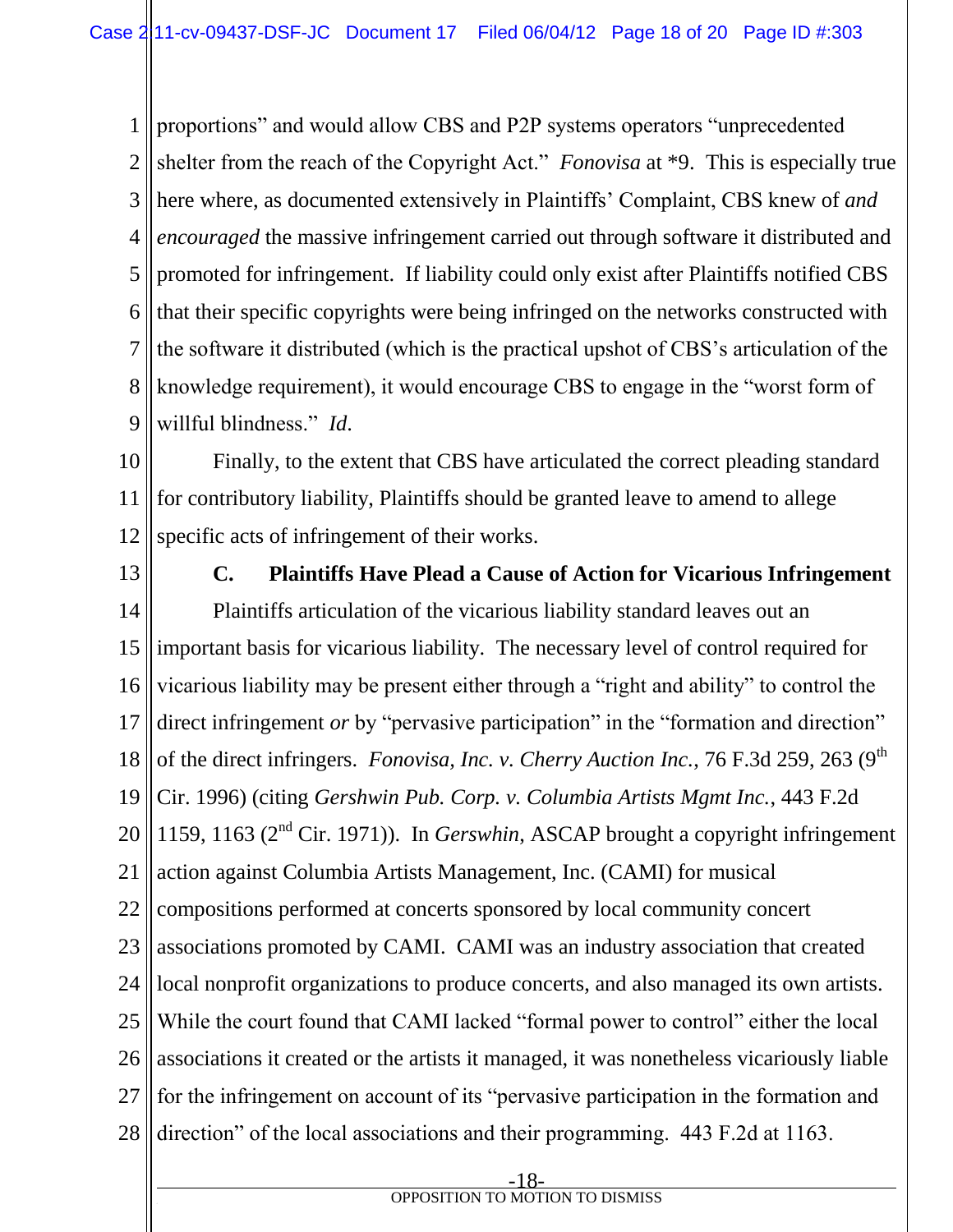1 2 3 4 5 6 7 8 9 proportions" and would allow CBS and P2P systems operators "unprecedented shelter from the reach of the Copyright Act." *Fonovisa* at \*9. This is especially true here where, as documented extensively in Plaintiffs' Complaint, CBS knew of *and encouraged* the massive infringement carried out through software it distributed and promoted for infringement. If liability could only exist after Plaintiffs notified CBS that their specific copyrights were being infringed on the networks constructed with the software it distributed (which is the practical upshot of CBS's articulation of the knowledge requirement), it would encourage CBS to engage in the "worst form of willful blindness." *Id*.

10 11 12 Finally, to the extent that CBS have articulated the correct pleading standard for contributory liability, Plaintiffs should be granted leave to amend to allege specific acts of infringement of their works.

13

14 15 16 17 18 19 20 21 22 23 24 25 26 27 28 **C. Plaintiffs Have Plead a Cause of Action for Vicarious Infringement** Plaintiffs articulation of the vicarious liability standard leaves out an important basis for vicarious liability. The necessary level of control required for vicarious liability may be present either through a "right and ability" to control the direct infringement *or* by "pervasive participation" in the "formation and direction" of the direct infringers. *Fonovisa, Inc. v. Cherry Auction Inc.*, 76 F.3d 259, 263 (9<sup>th</sup>) Cir. 1996) (citing *Gershwin Pub. Corp. v. Columbia Artists Mgmt Inc.*, 443 F.2d 1159, 1163 ( $2<sup>nd</sup>$  Cir. 1971)). In *Gerswhin*, ASCAP brought a copyright infringement action against Columbia Artists Management, Inc. (CAMI) for musical compositions performed at concerts sponsored by local community concert associations promoted by CAMI. CAMI was an industry association that created local nonprofit organizations to produce concerts, and also managed its own artists. While the court found that CAMI lacked "formal power to control" either the local associations it created or the artists it managed, it was nonetheless vicariously liable for the infringement on account of its "pervasive participation in the formation and direction" of the local associations and their programming. 443 F.2d at 1163.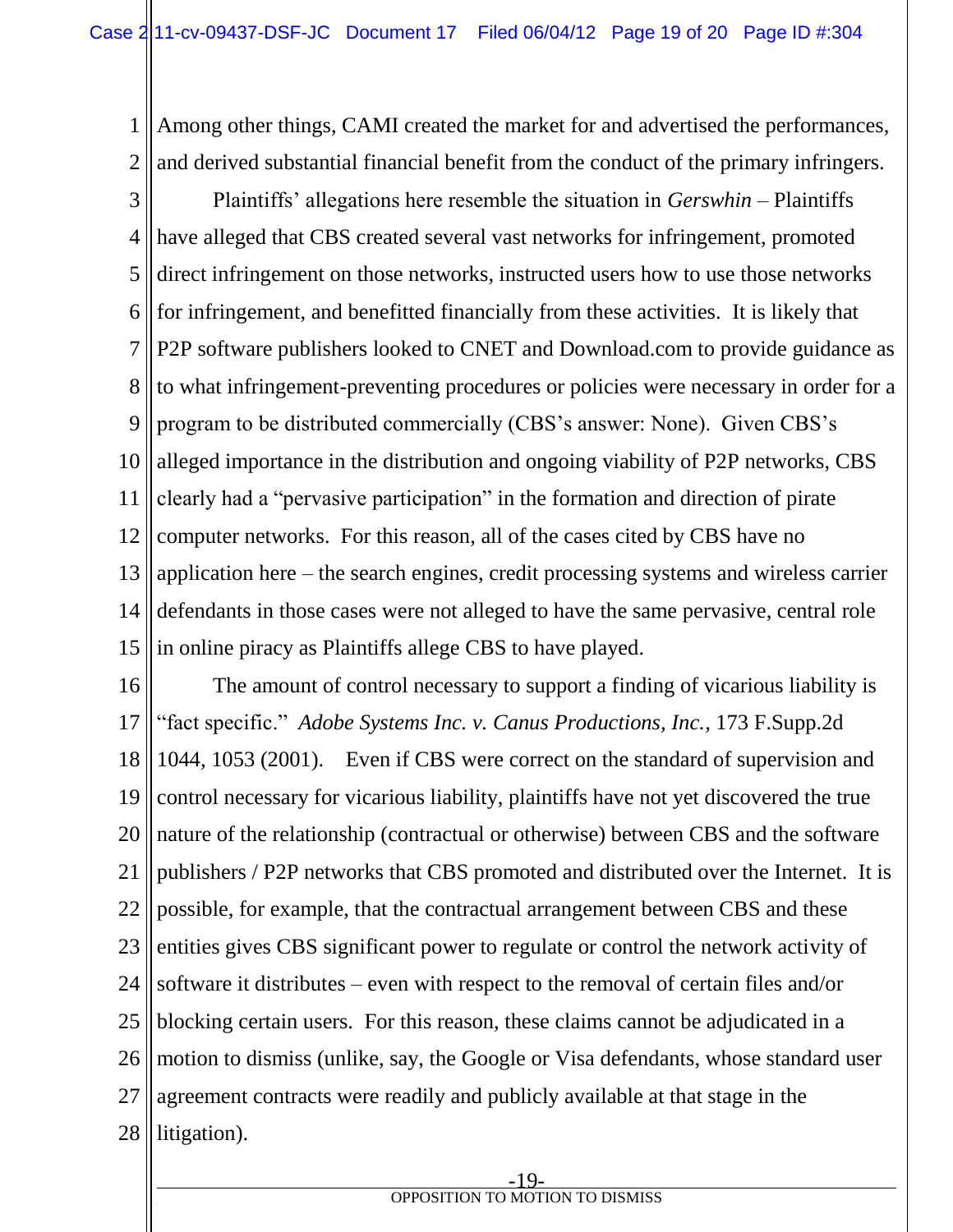1 2 Among other things, CAMI created the market for and advertised the performances, and derived substantial financial benefit from the conduct of the primary infringers.

3 4 5 6 7 8 9 10 11 12 13 14 15 Plaintiffs' allegations here resemble the situation in *Gerswhin* – Plaintiffs have alleged that CBS created several vast networks for infringement, promoted direct infringement on those networks, instructed users how to use those networks for infringement, and benefitted financially from these activities. It is likely that P2P software publishers looked to CNET and Download.com to provide guidance as to what infringement-preventing procedures or policies were necessary in order for a program to be distributed commercially (CBS's answer: None). Given CBS's alleged importance in the distribution and ongoing viability of P2P networks, CBS clearly had a "pervasive participation" in the formation and direction of pirate computer networks. For this reason, all of the cases cited by CBS have no application here – the search engines, credit processing systems and wireless carrier defendants in those cases were not alleged to have the same pervasive, central role in online piracy as Plaintiffs allege CBS to have played.

16 17 18 19 20 21 22 23 24 25 26 27 28 The amount of control necessary to support a finding of vicarious liability is "fact specific." *Adobe Systems Inc. v. Canus Productions, Inc.*, 173 F.Supp.2d 1044, 1053 (2001). Even if CBS were correct on the standard of supervision and control necessary for vicarious liability, plaintiffs have not yet discovered the true nature of the relationship (contractual or otherwise) between CBS and the software publishers / P2P networks that CBS promoted and distributed over the Internet. It is possible, for example, that the contractual arrangement between CBS and these entities gives CBS significant power to regulate or control the network activity of software it distributes – even with respect to the removal of certain files and/or blocking certain users. For this reason, these claims cannot be adjudicated in a motion to dismiss (unlike, say, the Google or Visa defendants, whose standard user agreement contracts were readily and publicly available at that stage in the litigation).